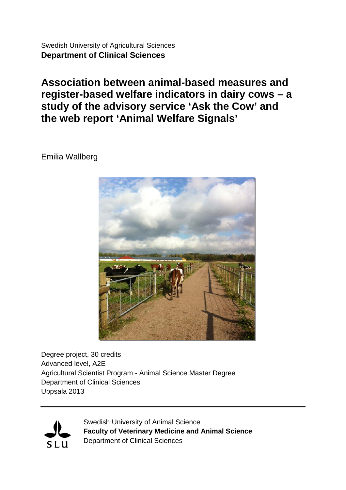Swedish University of Agricultural Sciences **Department of Clinical Sciences**

**Association between animal-based measures and register-based welfare indicators in dairy cows – a study of the advisory service 'Ask the Cow' and the web report 'Animal Welfare Signals'**

Emilia Wallberg



Degree project, 30 credits Advanced level, A2E Agricultural Scientist Program - Animal Science Master Degree Department of Clinical Sciences Uppsala 2013



Swedish University of Animal Science **Faculty of Veterinary Medicine and Animal Science** Department of Clinical Sciences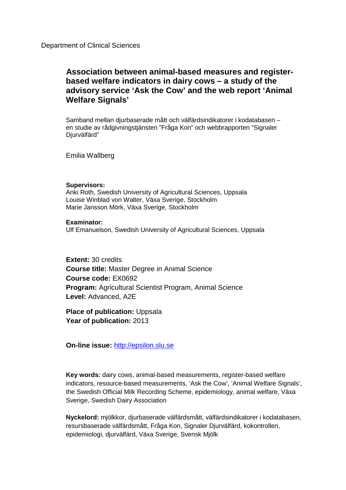### **Association between animal-based measures and registerbased welfare indicators in dairy cows – a study of the advisory service 'Ask the Cow' and the web report 'Animal Welfare Signals'**

Samband mellan djurbaserade mått och välfärdsindikatorer i kodatabasen – en studie av rådgivningstjänsten "Fråga Kon" och webbrapporten "Signaler Djurvälfärd"

Emilia Wallberg

#### **Supervisors:**

Anki Roth, Swedish University of Agricultural Sciences, Uppsala Louise Winblad von Walter, Växa Sverige, Stockholm Marie Jansson Mörk, Växa Sverige, Stockholm

#### **Examinator:**

Ulf Emanuelson, Swedish University of Agricultural Sciences, Uppsala

**Extent:** 30 credits **Course title:** Master Degree in Animal Science **Course code:** EX0692 **Program:** Agricultural Scientist Program, Animal Science **Level:** Advanced, A2E

**Place of publication:** Uppsala **Year of publication:** 2013

**On-line issue:** [http://epsilon.slu.se](http://epsilon.slu.se/)

**Key words:** dairy cows, animal-based measurements, register-based welfare indicators, resource-based measurements, 'Ask the Cow', 'Animal Welfare Signals', the Swedish Official Milk Recording Scheme, epidemiology, animal welfare, Växa Sverige, Swedish Dairy Association

**Nyckelord:** mjölkkor, djurbaserade välfärdsmått, välfärdsindikatorer i kodatabasen, resursbaserade välfärdsmått, Fråga Kon, Signaler Djurvälfärd, kokontrollen, epidemiologi, djurvälfärd, Växa Sverige, Svensk Mjölk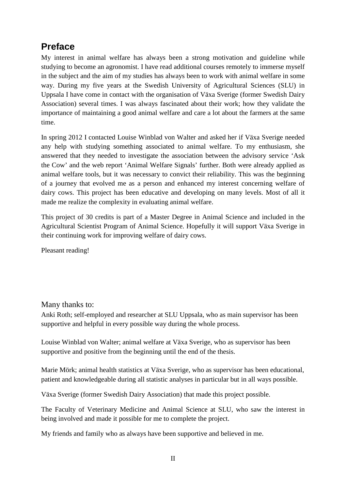# **Preface**

My interest in animal welfare has always been a strong motivation and guideline while studying to become an agronomist. I have read additional courses remotely to immerse myself in the subject and the aim of my studies has always been to work with animal welfare in some way. During my five years at the Swedish University of Agricultural Sciences (SLU) in Uppsala I have come in contact with the organisation of Växa Sverige (former Swedish Dairy Association) several times. I was always fascinated about their work; how they validate the importance of maintaining a good animal welfare and care a lot about the farmers at the same time.

In spring 2012 I contacted Louise Winblad von Walter and asked her if Växa Sverige needed any help with studying something associated to animal welfare. To my enthusiasm, she answered that they needed to investigate the association between the advisory service 'Ask the Cow' and the web report 'Animal Welfare Signals' further. Both were already applied as animal welfare tools, but it was necessary to convict their reliability. This was the beginning of a journey that evolved me as a person and enhanced my interest concerning welfare of dairy cows. This project has been educative and developing on many levels. Most of all it made me realize the complexity in evaluating animal welfare.

This project of 30 credits is part of a Master Degree in Animal Science and included in the Agricultural Scientist Program of Animal Science. Hopefully it will support Växa Sverige in their continuing work for improving welfare of dairy cows.

Pleasant reading!

#### Many thanks to:

Anki Roth; self-employed and researcher at SLU Uppsala, who as main supervisor has been supportive and helpful in every possible way during the whole process.

Louise Winblad von Walter; animal welfare at Växa Sverige, who as supervisor has been supportive and positive from the beginning until the end of the thesis.

Marie Mörk; animal health statistics at Växa Sverige, who as supervisor has been educational, patient and knowledgeable during all statistic analyses in particular but in all ways possible.

Växa Sverige (former Swedish Dairy Association) that made this project possible.

The Faculty of Veterinary Medicine and Animal Science at SLU, who saw the interest in being involved and made it possible for me to complete the project.

My friends and family who as always have been supportive and believed in me.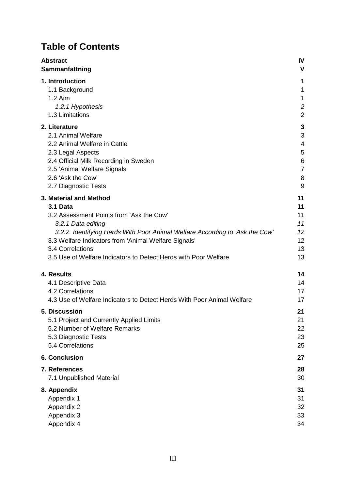# **Table of Contents**

| <b>Abstract</b>                                                              | <b>IV</b>      |
|------------------------------------------------------------------------------|----------------|
| Sammanfattning                                                               | V              |
| 1. Introduction                                                              | 1              |
| 1.1 Background                                                               | 1              |
| 1.2 Aim                                                                      | 1              |
| 1.2.1 Hypothesis                                                             | $\overline{c}$ |
| 1.3 Limitations                                                              | $\overline{2}$ |
| 2. Literature                                                                | 3              |
| 2.1 Animal Welfare                                                           | 3              |
| 2.2 Animal Welfare in Cattle                                                 | 4              |
| 2.3 Legal Aspects                                                            | 5              |
| 2.4 Official Milk Recording in Sweden                                        | 6              |
| 2.5 'Animal Welfare Signals'                                                 | $\overline{7}$ |
| 2.6 'Ask the Cow'                                                            | 8              |
| 2.7 Diagnostic Tests                                                         | 9              |
| 3. Material and Method                                                       | 11             |
| 3.1 Data                                                                     | 11             |
| 3.2 Assessment Points from 'Ask the Cow'                                     | 11             |
| 3.2.1 Data editing                                                           | 11             |
| 3.2.2. Identifying Herds With Poor Animal Welfare According to 'Ask the Cow' | 12             |
| 3.3 Welfare Indicators from 'Animal Welfare Signals'                         | 12             |
| 3.4 Correlations                                                             | 13             |
| 3.5 Use of Welfare Indicators to Detect Herds with Poor Welfare              | 13             |
| 4. Results                                                                   | 14             |
| 4.1 Descriptive Data                                                         | 14             |
| 4.2 Correlations                                                             | 17             |
| 4.3 Use of Welfare Indicators to Detect Herds With Poor Animal Welfare       | 17             |
| 5. Discussion                                                                | 21             |
| 5.1 Project and Currently Applied Limits                                     | 21             |
| 5.2 Number of Welfare Remarks                                                | 22             |
| 5.3 Diagnostic Tests                                                         | 23             |
| 5.4 Correlations                                                             | 25             |
| 6. Conclusion                                                                | 27             |
| 7. References                                                                | 28             |
| 7.1 Unpublished Material                                                     | 30             |
| 8. Appendix                                                                  | 31             |
| Appendix 1                                                                   | 31             |
| Appendix 2                                                                   | 32             |
| Appendix 3                                                                   | 33             |
| Appendix 4                                                                   | 34             |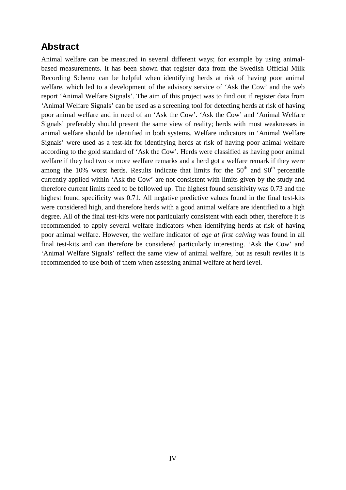## **Abstract**

Animal welfare can be measured in several different ways; for example by using animalbased measurements. It has been shown that register data from the Swedish Official Milk Recording Scheme can be helpful when identifying herds at risk of having poor animal welfare, which led to a development of the advisory service of 'Ask the Cow' and the web report 'Animal Welfare Signals'. The aim of this project was to find out if register data from 'Animal Welfare Signals' can be used as a screening tool for detecting herds at risk of having poor animal welfare and in need of an 'Ask the Cow'. 'Ask the Cow' and 'Animal Welfare Signals' preferably should present the same view of reality; herds with most weaknesses in animal welfare should be identified in both systems. Welfare indicators in 'Animal Welfare Signals' were used as a test-kit for identifying herds at risk of having poor animal welfare according to the gold standard of 'Ask the Cow'. Herds were classified as having poor animal welfare if they had two or more welfare remarks and a herd got a welfare remark if they were among the 10% worst herds. Results indicate that limits for the  $50<sup>th</sup>$  and  $90<sup>th</sup>$  percentile currently applied within 'Ask the Cow' are not consistent with limits given by the study and therefore current limits need to be followed up. The highest found sensitivity was 0.73 and the highest found specificity was 0.71. All negative predictive values found in the final test-kits were considered high, and therefore herds with a good animal welfare are identified to a high degree. All of the final test-kits were not particularly consistent with each other, therefore it is recommended to apply several welfare indicators when identifying herds at risk of having poor animal welfare. However, the welfare indicator of *age at first calving* was found in all final test-kits and can therefore be considered particularly interesting. 'Ask the Cow' and 'Animal Welfare Signals' reflect the same view of animal welfare, but as result reviles it is recommended to use both of them when assessing animal welfare at herd level.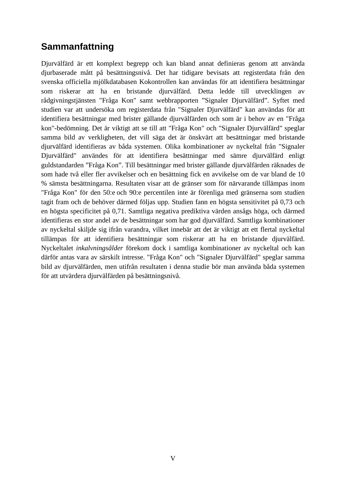# **Sammanfattning**

Djurvälfärd är ett komplext begrepp och kan bland annat definieras genom att använda djurbaserade mått på besättningsnivå. Det har tidigare bevisats att registerdata från den svenska officiella mjölkdatabasen Kokontrollen kan användas för att identifiera besättningar som riskerar att ha en bristande djurvälfärd. Detta ledde till utvecklingen av rådgivningstjänsten "Fråga Kon" samt webbrapporten "Signaler Djurvälfärd". Syftet med studien var att undersöka om registerdata från "Signaler Djurvälfärd" kan användas för att identifiera besättningar med brister gällande djurvälfärden och som är i behov av en "Fråga kon"-bedömning. Det är viktigt att se till att "Fråga Kon" och "Signaler Djurvälfärd" speglar samma bild av verkligheten, det vill säga det är önskvärt att besättningar med bristande djurvälfärd identifieras av båda systemen. Olika kombinationer av nyckeltal från "Signaler Djurvälfärd" användes för att identifiera besättningar med sämre djurvälfärd enligt guldstandarden "Fråga Kon". Till besättningar med brister gällande djurvälfärden räknades de som hade två eller fler avvikelser och en besättning fick en avvikelse om de var bland de 10 % sämsta besättningarna. Resultaten visar att de gränser som för närvarande tillämpas inom "Fråga Kon" för den 50:e och 90:e percentilen inte är förenliga med gränserna som studien tagit fram och de behöver därmed följas upp. Studien fann en högsta sensitivitet på 0,73 och en högsta specificitet på 0,71. Samtliga negativa prediktiva värden ansågs höga, och därmed identifieras en stor andel av de besättningar som har god djurvälfärd. Samtliga kombinationer av nyckeltal skiljde sig ifrån varandra, vilket innebär att det är viktigt att ett flertal nyckeltal tillämpas för att identifiera besättningar som riskerar att ha en bristande djurvälfärd. Nyckeltalet *inkalvningsålder* förekom dock i samtliga kombinationer av nyckeltal och kan därför antas vara av särskilt intresse. "Fråga Kon" och "Signaler Djurvälfärd" speglar samma bild av djurvälfärden, men utifrån resultaten i denna studie bör man använda båda systemen för att utvärdera djurvälfärden på besättningsnivå.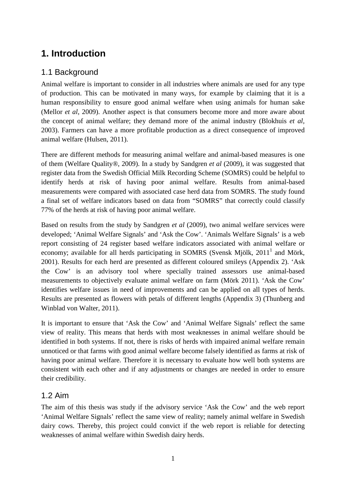# **1. Introduction**

## 1.1 Background

Animal welfare is important to consider in all industries where animals are used for any type of production. This can be motivated in many ways, for example by claiming that it is a human responsibility to ensure good animal welfare when using animals for human sake (Mellor *et al*, 2009). Another aspect is that consumers become more and more aware about the concept of animal welfare; they demand more of the animal industry (Blokhuis *et al,* 2003). Farmers can have a more profitable production as a direct consequence of improved animal welfare (Hulsen, 2011).

There are different methods for measuring animal welfare and animal-based measures is one of them (Welfare Quality*®*, 2009). In a study by Sandgren *et al* (2009), it was suggested that register data from the Swedish Official Milk Recording Scheme (SOMRS) could be helpful to identify herds at risk of having poor animal welfare. Results from animal-based measurements were compared with associated case herd data from SOMRS. The study found a final set of welfare indicators based on data from "SOMRS" that correctly could classify 77% of the herds at risk of having poor animal welfare.

Based on results from the study by Sandgren *et al* (2009), two animal welfare services were developed; 'Animal Welfare Signals' and 'Ask the Cow'. 'Animals Welfare Signals' is a web report consisting of 24 register based welfare indicators associated with animal welfare or economy; available for all herds participating in SOMRS (Svensk Mjölk,  $2011<sup>1</sup>$  and Mörk, 2001). Results for each herd are presented as different coloured smileys (Appendix 2). 'Ask the Cow' is an advisory tool where specially trained assessors use animal-based measurements to objectively evaluate animal welfare on farm (Mörk 2011). 'Ask the Cow' identifies welfare issues in need of improvements and can be applied on all types of herds. Results are presented as flowers with petals of different lengths (Appendix 3) (Thunberg and Winblad von Walter, 2011).

It is important to ensure that 'Ask the Cow' and 'Animal Welfare Signals' reflect the same view of reality. This means that herds with most weaknesses in animal welfare should be identified in both systems. If not, there is risks of herds with impaired animal welfare remain unnoticed or that farms with good animal welfare become falsely identified as farms at risk of having poor animal welfare. Therefore it is necessary to evaluate how well both systems are consistent with each other and if any adjustments or changes are needed in order to ensure their credibility.

#### 1.2 Aim

The aim of this thesis was study if the advisory service 'Ask the Cow' and the web report 'Animal Welfare Signals' reflect the same view of reality; namely animal welfare in Swedish dairy cows. Thereby, this project could convict if the web report is reliable for detecting weaknesses of animal welfare within Swedish dairy herds.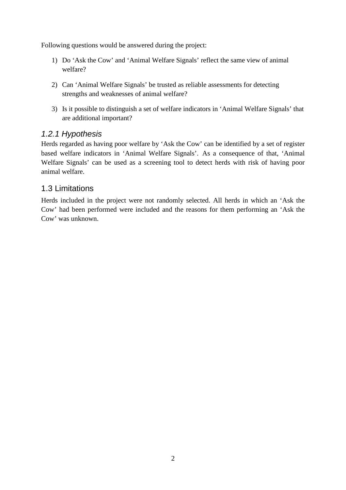Following questions would be answered during the project:

- 1) Do 'Ask the Cow' and 'Animal Welfare Signals' reflect the same view of animal welfare?
- 2) Can 'Animal Welfare Signals' be trusted as reliable assessments for detecting strengths and weaknesses of animal welfare?
- 3) Is it possible to distinguish a set of welfare indicators in 'Animal Welfare Signals' that are additional important?

#### *1.2.1 Hypothesis*

Herds regarded as having poor welfare by 'Ask the Cow' can be identified by a set of register based welfare indicators in 'Animal Welfare Signals'. As a consequence of that, 'Animal Welfare Signals' can be used as a screening tool to detect herds with risk of having poor animal welfare.

#### 1.3 Limitations

Herds included in the project were not randomly selected. All herds in which an 'Ask the Cow' had been performed were included and the reasons for them performing an 'Ask the Cow' was unknown.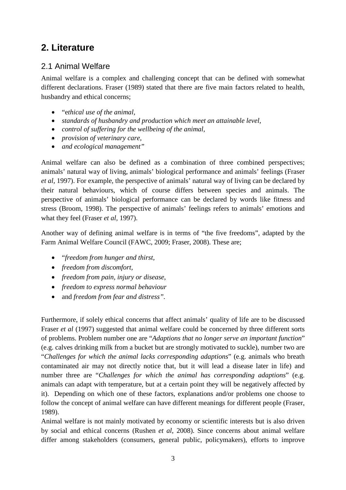## **2. Literature**

## 2.1 Animal Welfare

Animal welfare is a complex and challenging concept that can be defined with somewhat different declarations. Fraser (1989) stated that there are five main factors related to health, husbandry and ethical concerns;

- "e*thical use of the animal,*
- *standards of husbandry and production which meet an attainable level*,
- *control of suffering for the wellbeing of the animal,*
- *provision of veterinary care,*
- *and ecological management"*

Animal welfare can also be defined as a combination of three combined perspectives; animals' natural way of living, animals' biological performance and animals' feelings (Fraser *et al,* 1997). For example, the perspective of animals' natural way of living can be declared by their natural behaviours, which of course differs between species and animals. The perspective of animals' biological performance can be declared by words like fitness and stress (Broom, 1998). The perspective of animals' feelings refers to animals' emotions and what they feel (Fraser *et al,* 1997).

Another way of defining animal welfare is in terms of "the five freedoms", adapted by the Farm Animal Welfare Council (FAWC, 2009; Fraser, 2008). These are;

- "*freedom from hunger and thirst,*
- *freedom from discomfort,*
- *freedom from pain, injury or disease,*
- *freedom to express normal behaviour*
- and *freedom from fear and distress".*

Furthermore, if solely ethical concerns that affect animals' quality of life are to be discussed Fraser *et al* (1997) suggested that animal welfare could be concerned by three different sorts of problems. Problem number one are "*Adaptions that no longer serve an important function*" (e.g. calves drinking milk from a bucket but are strongly motivated to suckle), number two are "*Challenges for which the animal lacks corresponding adaptions*" (e.g. animals who breath contaminated air may not directly notice that, but it will lead a disease later in life) and number three are "*Challenges for which the animal has corresponding adaptions*" (e.g. animals can adapt with temperature, but at a certain point they will be negatively affected by it). Depending on which one of these factors, explanations and/or problems one choose to follow the concept of animal welfare can have different meanings for different people (Fraser, 1989).

Animal welfare is not mainly motivated by economy or scientific interests but is also driven by social and ethical concerns (Rushen *et al*, 2008). Since concerns about animal welfare differ among stakeholders (consumers, general public, policymakers), efforts to improve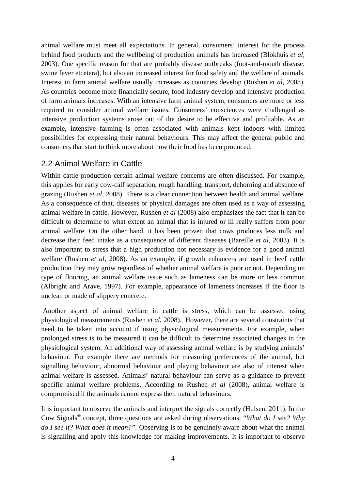animal welfare must meet all expectations. In general, consumers' interest for the process behind food products and the wellbeing of production animals has increased (Blokhuis *et al,* 2003). One specific reason for that are probably disease outbreaks (foot-and-mouth disease, swine fever etcetera), but also an increased interest for food safety and the welfare of animals. Interest in farm animal welfare usually increases as countries develop (Rushen *et al*, 2008). As countries become more financially secure, food industry develop and intensive production of farm animals increases. With an intensive farm animal system, consumers are more or less required to consider animal welfare issues. Consumers' consciences were challenged as intensive production systems arose out of the desire to be effective and profitable. As an example, intensive farming is often associated with animals kept indoors with limited possibilities for expressing their natural behaviours. This may affect the general public and consumers that start to think more about how their food has been produced.

#### 2.2 Animal Welfare in Cattle

Within cattle production certain animal welfare concerns are often discussed. For example, this applies for early cow-calf separation, rough handling, transport, dehorning and absence of grazing (Rushen *et al*, 2008). There is a clear connection between health and animal welfare. As a consequence of that, diseases or physical damages are often used as a way of assessing animal welfare in cattle. However, Rushen *et al* (2008) also emphasizes the fact that it can be difficult to determine to what extent an animal that is injured or ill really suffers from poor animal welfare. On the other hand, it has been proven that cows produces less milk and decrease their feed intake as a consequence of different diseases (Bareille *et al*, 2003). It is also important to stress that a high production not necessary is evidence for a good animal welfare (Rushen *et al*, 2008). As an example, if growth enhancers are used in beef cattle production they may grow regardless of whether animal welfare is poor or not. Depending on type of flooring, an animal welfare issue such as lameness can be more or less common (Albright and Arave, 1997). For example, appearance of lameness increases if the floor is unclean or made of slippery concrete.

Another aspect of animal welfare in cattle is stress, which can be assessed using physiological measurements (Rushen *et al*, 2008). However, there are several constraints that need to be taken into account if using physiological measurements. For example, when prolonged stress is to be measured it can be difficult to determine associated changes in the physiological system. An additional way of assessing animal welfare is by studying animals' behaviour. For example there are methods for measuring preferences of the animal, but signalling behaviour, abnormal behaviour and playing behaviour are also of interest when animal welfare is assessed. Animals' natural behaviour can serve as a guidance to prevent specific animal welfare problems. According to Rushen *et al* (2008), animal welfare is compromised if the animals cannot express their natural behaviours.

It is important to observe the animals and interpret the signals correctly (Hulsen, 2011). In the Cow Signals® concept, three questions are asked during observations; "*What do I see? Why do I see it? What does it mean?".* Observing is to be genuinely aware about what the animal is signalling and apply this knowledge for making improvements. It is important to observe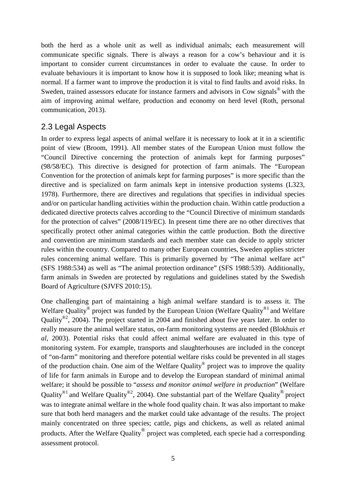both the herd as a whole unit as well as individual animals; each measurement will communicate specific signals. There is always a reason for a cow's behaviour and it is important to consider current circumstances in order to evaluate the cause. In order to evaluate behaviours it is important to know how it is supposed to look like; meaning what is normal. If a farmer want to improve the production it is vital to find faults and avoid risks. In Sweden, trained assessors educate for instance farmers and advisors in Cow signals<sup>®</sup> with the aim of improving animal welfare, production and economy on herd level (Roth, personal communication, 2013).

### 2.3 Legal Aspects

In order to express legal aspects of animal welfare it is necessary to look at it in a scientific point of view (Broom, 1991). All member states of the European Union must follow the "Council Directive concerning the protection of animals kept for farming purposes" (98/58/EC). This directive is designed for protection of farm animals. The "European Convention for the protection of animals kept for farming purposes" is more specific than the directive and is specialized on farm animals kept in intensive production systems (L323, 1978). Furthermore, there are directives and regulations that specifies in individual species and/or on particular handling activities within the production chain. Within cattle production a dedicated directive protects calves according to the "Council Directive of minimum standards for the protection of calves" (2008/119/EC). In present time there are no other directives that specifically protect other animal categories within the cattle production. Both the directive and convention are minimum standards and each member state can decide to apply stricter rules within the country. Compared to many other European countries, Sweden applies stricter rules concerning animal welfare. This is primarily governed by "The animal welfare act" (SFS 1988:534) as well as "The animal protection ordinance" (SFS 1988:539). Additionally, farm animals in Sweden are protected by regulations and guidelines stated by the Swedish Board of Agriculture (SJVFS 2010:15).

One challenging part of maintaining a high animal welfare standard is to assess it. The Welfare Quality*®* project was funded by the European Union (Welfare Quality*®*1 and Welfare Quality*®*<sup>2</sup> , 2004). The project started in 2004 and finished about five years later. In order to really measure the animal welfare status, on-farm monitoring systems are needed (Blokhuis *et al,* 2003). Potential risks that could affect animal welfare are evaluated in this type of monitoring system. For example, transports and slaughterhouses are included in the concept of "on-farm" monitoring and therefore potential welfare risks could be prevented in all stages of the production chain. One aim of the Welfare Quality*®* project was to improve the quality of life for farm animals in Europe and to develop the European standard of minimal animal welfare; it should be possible to "*assess and monitor animal welfare in production*" (Welfare Quality*®*1 and Welfare Quality*®*<sup>2</sup> , 2004). One substantial part of the Welfare Quality*®* project was to integrate animal welfare in the whole food quality chain. It was also important to make sure that both herd managers and the market could take advantage of the results. The project mainly concentrated on three species; cattle, pigs and chickens, as well as related animal products. After the Welfare Quality*®* project was completed, each specie had a corresponding assessment protocol.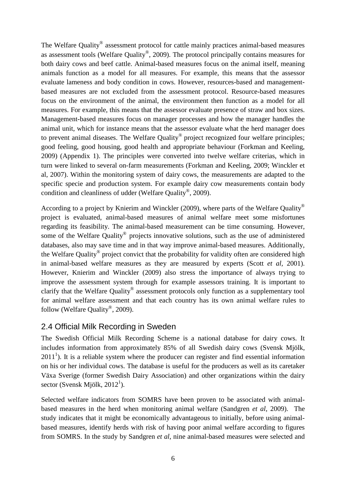The Welfare Quality*®* assessment protocol for cattle mainly practices animal-based measures as assessment tools (Welfare Quality*®*, 2009). The protocol principally contains measures for both dairy cows and beef cattle. Animal-based measures focus on the animal itself, meaning animals function as a model for all measures. For example, this means that the assessor evaluate lameness and body condition in cows. However, resources-based and managementbased measures are not excluded from the assessment protocol. Resource-based measures focus on the environment of the animal, the environment then function as a model for all measures. For example, this means that the assessor evaluate presence of straw and box sizes. Management-based measures focus on manager processes and how the manager handles the animal unit, which for instance means that the assessor evaluate what the herd manager does to prevent animal diseases. The Welfare Quality*®* project recognized four welfare principles; good feeling, good housing, good health and appropriate behaviour (Forkman and Keeling, 2009) (Appendix 1). The principles were converted into twelve welfare criterias, which in turn were linked to several on-farm measurements (Forkman and Keeling, 2009; Winckler et al, 2007). Within the monitoring system of dairy cows, the measurements are adapted to the specific specie and production system. For example dairy cow measurements contain body condition and cleanliness of udder (Welfare Quality*®*, 2009).

According to a project by Knierim and Winckler (2009), where parts of the Welfare Quality*®* project is evaluated, animal-based measures of animal welfare meet some misfortunes regarding its feasibility. The animal-based measurement can be time consuming. However, some of the Welfare Quality*®* projects innovative solutions, such as the use of administered databases, also may save time and in that way improve animal-based measures. Additionally, the Welfare Quality*®* project convict that the probability for validity often are considered high in animal-based welfare measures as they are measured by experts (Scott *et al,* 2001). However, Knierim and Winckler (2009) also stress the importance of always trying to improve the assessment system through for example assessors training. It is important to clarify that the Welfare Quality*®* assessment protocols only function as a supplementary tool for animal welfare assessment and that each country has its own animal welfare rules to follow (Welfare Quality*®*, 2009).

#### 2.4 Official Milk Recording in Sweden

The Swedish Official Milk Recording Scheme is a national database for dairy cows. It includes information from approximately 85% of all Swedish dairy cows (Svensk Mjölk,  $2011<sup>1</sup>$ ). It is a reliable system where the producer can register and find essential information on his or her individual cows. The database is useful for the producers as well as its caretaker Växa Sverige (former Swedish Dairy Association) and other organizations within the dairy sector (Svensk Mjölk, 2012<sup>1</sup>).

Selected welfare indicators from SOMRS have been proven to be associated with animalbased measures in the herd when monitoring animal welfare (Sandgren *et al*, 2009). The study indicates that it might be economically advantageous to initially, before using animalbased measures, identify herds with risk of having poor animal welfare according to figures from SOMRS. In the study by Sandgren *et al*, nine animal-based measures were selected and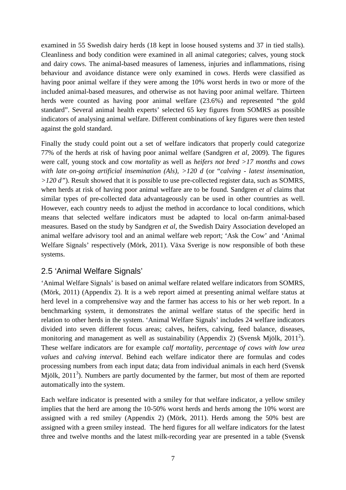examined in 55 Swedish dairy herds (18 kept in loose housed systems and 37 in tied stalls). Cleanliness and body condition were examined in all animal categories; calves, young stock and dairy cows. The animal-based measures of lameness, injuries and inflammations, rising behaviour and avoidance distance were only examined in cows. Herds were classified as having poor animal welfare if they were among the 10% worst herds in two or more of the included animal-based measures, and otherwise as not having poor animal welfare. Thirteen herds were counted as having poor animal welfare (23.6%) and represented "the gold standard". Several animal health experts' selected 65 key figures from SOMRS as possible indicators of analysing animal welfare. Different combinations of key figures were then tested against the gold standard.

Finally the study could point out a set of welfare indicators that properly could categorize 77% of the herds at risk of having poor animal welfare (Sandgren *et al*, 2009). The figures were calf, young stock and cow *mortality* as well as *heifers not bred >17 months* and *cows with late on-going artificial insemination (Als), >120 d* (or "*calving - latest insemination, >120 d"*). Result showed that it is possible to use pre-collected register data, such as SOMRS, when herds at risk of having poor animal welfare are to be found. Sandgren *et al* claims that similar types of pre-collected data advantageously can be used in other countries as well. However, each country needs to adjust the method in accordance to local conditions, which means that selected welfare indicators must be adapted to local on-farm animal-based measures. Based on the study by Sandgren *et al*, the Swedish Dairy Association developed an animal welfare advisory tool and an animal welfare web report; 'Ask the Cow' and 'Animal Welfare Signals' respectively (Mörk, 2011). Växa Sverige is now responsible of both these systems.

#### 2.5 'Animal Welfare Signals'

'Animal Welfare Signals' is based on animal welfare related welfare indicators from SOMRS, (Mörk, 2011) (Appendix 2). It is a web report aimed at presenting animal welfare status at herd level in a comprehensive way and the farmer has access to his or her web report. In a benchmarking system, it demonstrates the animal welfare status of the specific herd in relation to other herds in the system. 'Animal Welfare Signals' includes 24 welfare indicators divided into seven different focus areas; calves, heifers, calving, feed balance, diseases, monitoring and management as well as sustainability (Appendix 2) (Svensk Mjölk,  $2011^2$ ). These welfare indicators are for example *calf mortality, percentage of cows with low urea values* and *calving interval*. Behind each welfare indicator there are formulas and codes processing numbers from each input data; data from individual animals in each herd (Svensk Mjölk,  $2011<sup>3</sup>$ ). Numbers are partly documented by the farmer, but most of them are reported automatically into the system.

Each welfare indicator is presented with a smiley for that welfare indicator, a yellow smiley implies that the herd are among the 10-50% worst herds and herds among the 10% worst are assigned with a red smiley (Appendix 2) (Mörk, 2011). Herds among the 50% best are assigned with a green smiley instead. The herd figures for all welfare indicators for the latest three and twelve months and the latest milk-recording year are presented in a table (Svensk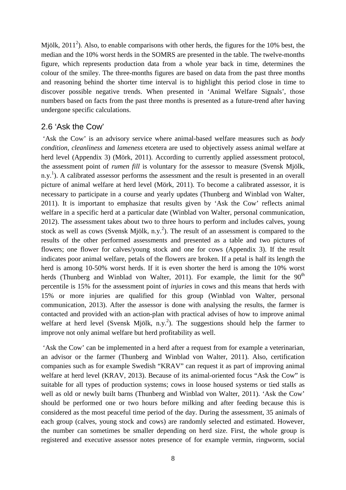Mjölk,  $2011^2$ ). Also, to enable comparisons with other herds, the figures for the 10% best, the median and the 10% worst herds in the SOMRS are presented in the table. The twelve-months figure, which represents production data from a whole year back in time, determines the colour of the smiley. The three-months figures are based on data from the past three months and reasoning behind the shorter time interval is to highlight this period close in time to discover possible negative trends. When presented in 'Animal Welfare Signals', those numbers based on facts from the past three months is presented as a future-trend after having undergone specific calculations.

#### 2.6 'Ask the Cow'

'Ask the Cow' is an advisory service where animal-based welfare measures such as *body condition, cleanliness* and *lameness* etcetera are used to objectively assess animal welfare at herd level (Appendix 3) (Mörk, 2011). According to currently applied assessment protocol, the assessment point of *rumen fill* is voluntary for the assessor to measure (Svensk Mjölk, n.y.<sup>1</sup>). A calibrated assessor performs the assessment and the result is presented in an overall picture of animal welfare at herd level (Mörk, 2011). To become a calibrated assessor, it is necessary to participate in a course and yearly updates (Thunberg and Winblad von Walter, 2011). It is important to emphasize that results given by 'Ask the Cow' reflects animal welfare in a specific herd at a particular date (Winblad von Walter, personal communication, 2012). The assessment takes about two to three hours to perform and includes calves, young stock as well as cows (Svensk Mjölk, n.y.<sup>2</sup>). The result of an assessment is compared to the results of the other performed assessments and presented as a table and two pictures of flowers; one flower for calves/young stock and one for cows (Appendix 3). If the result indicates poor animal welfare, petals of the flowers are broken. If a petal is half its length the herd is among 10-50% worst herds. If it is even shorter the herd is among the 10% worst herds (Thunberg and Winblad von Walter, 2011). For example, the limit for the  $90<sup>th</sup>$ percentile is 15% for the assessment point of *injuries* in cows and this means that herds with 15% or more injuries are qualified for this group (Winblad von Walter, personal communication, 2013). After the assessor is done with analysing the results, the farmer is contacted and provided with an action-plan with practical advises of how to improve animal welfare at herd level (Svensk Mjölk, n.y.<sup>2</sup>). The suggestions should help the farmer to improve not only animal welfare but herd profitability as well.

'Ask the Cow' can be implemented in a herd after a request from for example a veterinarian, an advisor or the farmer (Thunberg and Winblad von Walter, 2011). Also, certification companies such as for example Swedish "KRAV" can request it as part of improving animal welfare at herd level (KRAV, 2013). Because of its animal-oriented focus "Ask the Cow" is suitable for all types of production systems; cows in loose housed systems or tied stalls as well as old or newly built barns (Thunberg and Winblad von Walter, 2011). 'Ask the Cow' should be performed one or two hours before milking and after feeding because this is considered as the most peaceful time period of the day. During the assessment, 35 animals of each group (calves, young stock and cows) are randomly selected and estimated. However, the number can sometimes be smaller depending on herd size. First, the whole group is registered and executive assessor notes presence of for example vermin, ringworm, social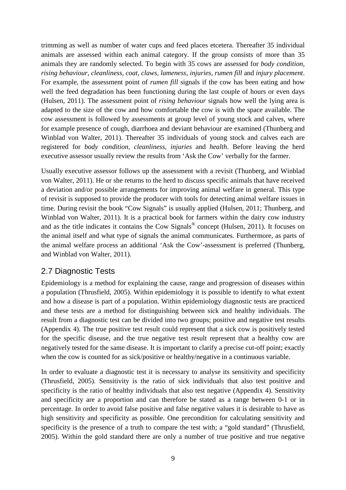trimming as well as number of water cups and feed places etcetera. Thereafter 35 individual animals are assessed within each animal category. If the group consists of more than 35 animals they are randomly selected. To begin with 35 cows are assessed for *body condition, rising behaviour, cleanliness, coat, claws, lameness, injuries, rumen fill* and *injury placement*. For example, the assessment point of *rumen fill* signals if the cow has been eating and how well the feed degradation has been functioning during the last couple of hours or even days (Hulsen, 2011). The assessment point of *rising behaviour* signals how well the lying area is adapted to the size of the cow and how comfortable the cow is with the space available. The cow assessment is followed by assessments at group level of young stock and calves, where for example presence of cough, diarrhoea and deviant behaviour are examined (Thunberg and Winblad von Walter, 2011). Thereafter 35 individuals of young stock and calves each are registered for *body condition, cleanliness, injuries* and *health*. Before leaving the herd executive assessor usually review the results from 'Ask the Cow' verbally for the farmer.

Usually executive assessor follows up the assessment with a revisit (Thunberg, and Winblad von Walter, 2011). He or she returns to the herd to discuss specific animals that have received a deviation and/or possible arrangements for improving animal welfare in general. This type of revisit is supposed to provide the producer with tools for detecting animal welfare issues in time. During revisit the book "Cow Signals" is usually applied (Hulsen, 2011; Thunberg, and Winblad von Walter, 2011). It is a practical book for farmers within the dairy cow industry and as the title indicates it contains the Cow Signals<sup>®</sup> concept (Hulsen, 2011). It focuses on the animal itself and what type of signals the animal communicates. Furthermore, as parts of the animal welfare process an additional 'Ask the Cow'-assessment is preferred (Thunberg, and Winblad von Walter, 2011).

#### 2.7 Diagnostic Tests

Epidemiology is a method for explaining the cause, range and progression of diseases within a population (Thrusfield, 2005). Within epidemiology it is possible to identify to what extent and how a disease is part of a population. Within epidemiology diagnostic tests are practiced and these tests are a method for distinguishing between sick and healthy individuals. The result from a diagnostic test can be divided into two groups; positive and negative test results (Appendix 4). The true positive test result could represent that a sick cow is positively tested for the specific disease, and the true negative test result represent that a healthy cow are negatively tested for the same disease. It is important to clarify a precise cut-off point; exactly when the cow is counted for as sick/positive or healthy/negative in a continuous variable.

In order to evaluate a diagnostic test it is necessary to analyse its sensitivity and specificity (Thrusfield, 2005). Sensitivity is the ratio of sick individuals that also test positive and specificity is the ratio of healthy individuals that also test negative (Appendix 4). Sensitivity and specificity are a proportion and can therefore be stated as a range between 0-1 or in percentage. In order to avoid false positive and false negative values it is desirable to have as high sensitivity and specificity as possible. One precondition for calculating sensitivity and specificity is the presence of a truth to compare the test with; a "gold standard" (Thrusfield, 2005). Within the gold standard there are only a number of true positive and true negative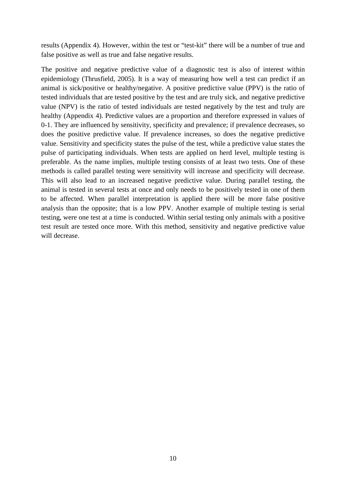results (Appendix 4). However, within the test or "test-kit" there will be a number of true and false positive as well as true and false negative results.

The positive and negative predictive value of a diagnostic test is also of interest within epidemiology (Thrusfield, 2005). It is a way of measuring how well a test can predict if an animal is sick/positive or healthy/negative. A positive predictive value (PPV) is the ratio of tested individuals that are tested positive by the test and are truly sick, and negative predictive value (NPV) is the ratio of tested individuals are tested negatively by the test and truly are healthy (Appendix 4). Predictive values are a proportion and therefore expressed in values of 0-1. They are influenced by sensitivity, specificity and prevalence; if prevalence decreases, so does the positive predictive value. If prevalence increases, so does the negative predictive value. Sensitivity and specificity states the pulse of the test, while a predictive value states the pulse of participating individuals. When tests are applied on herd level, multiple testing is preferable. As the name implies, multiple testing consists of at least two tests. One of these methods is called parallel testing were sensitivity will increase and specificity will decrease. This will also lead to an increased negative predictive value. During parallel testing, the animal is tested in several tests at once and only needs to be positively tested in one of them to be affected. When parallel interpretation is applied there will be more false positive analysis than the opposite; that is a low PPV. Another example of multiple testing is serial testing, were one test at a time is conducted. Within serial testing only animals with a positive test result are tested once more. With this method, sensitivity and negative predictive value will decrease.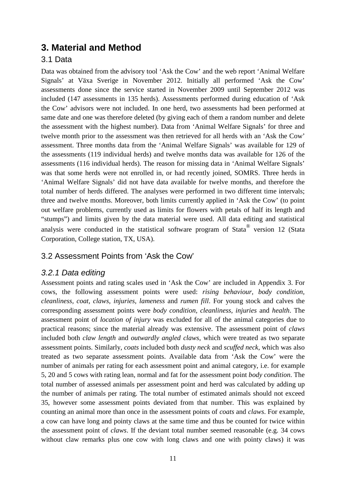## **3. Material and Method**

### 3.1 Data

Data was obtained from the advisory tool 'Ask the Cow' and the web report 'Animal Welfare Signals' at Växa Sverige in November 2012. Initially all performed 'Ask the Cow' assessments done since the service started in November 2009 until September 2012 was included (147 assessments in 135 herds). Assessments performed during education of 'Ask the Cow' advisors were not included. In one herd, two assessments had been performed at same date and one was therefore deleted (by giving each of them a random number and delete the assessment with the highest number). Data from 'Animal Welfare Signals' for three and twelve month prior to the assessment was then retrieved for all herds with an 'Ask the Cow' assessment. Three months data from the 'Animal Welfare Signals' was available for 129 of the assessments (119 individual herds) and twelve months data was available for 126 of the assessments (116 individual herds). The reason for missing data in 'Animal Welfare Signals' was that some herds were not enrolled in, or had recently joined, SOMRS. Three herds in 'Animal Welfare Signals' did not have data available for twelve months, and therefore the total number of herds differed. The analyses were performed in two different time intervals; three and twelve months. Moreover, both limits currently applied in 'Ask the Cow' (to point out welfare problems, currently used as limits for flowers with petals of half its length and "stumps") and limits given by the data material were used. All data editing and statistical analysis were conducted in the statistical software program of Stata<sup>®</sup> version 12 (Stata Corporation, College station, TX, USA).

#### 3.2 Assessment Points from 'Ask the Cow'

#### *3.2.1 Data editing*

Assessment points and rating scales used in 'Ask the Cow' are included in Appendix 3. For cows, the following assessment points were used: *rising behaviour, body condition, cleanliness, coat, claws, injuries, lameness* and *rumen fill*. For young stock and calves the corresponding assessment points were *body condition, cleanliness, injuries* and *health*. The assessment point of *location of injury* was excluded for all of the animal categories due to practical reasons; since the material already was extensive. The assessment point of *claws* included both *claw length* and *outwardly angled claws*, which were treated as two separate assessment points. Similarly, *coats* included both *dusty neck* and *scuffed neck*, which was also treated as two separate assessment points. Available data from 'Ask the Cow' were the number of animals per rating for each assessment point and animal category, i.e. for example 5, 20 and 5 cows with rating lean, normal and fat for the assessment point *body condition*. The total number of assessed animals per assessment point and herd was calculated by adding up the number of animals per rating. The total number of estimated animals should not exceed 35, however some assessment points deviated from that number. This was explained by counting an animal more than once in the assessment points of *coats* and *claws*. For example, a cow can have long and pointy claws at the same time and thus be counted for twice within the assessment point of *claws*. If the deviant total number seemed reasonable (e.g. 34 cows without claw remarks plus one cow with long claws and one with pointy claws) it was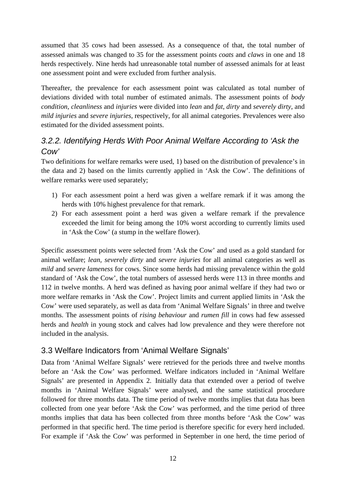assumed that 35 cows had been assessed. As a consequence of that, the total number of assessed animals was changed to 35 for the assessment points *coats* and *claws* in one and 18 herds respectively. Nine herds had unreasonable total number of assessed animals for at least one assessment point and were excluded from further analysis.

Thereafter, the prevalence for each assessment point was calculated as total number of deviations divided with total number of estimated animals. The assessment points of *body condition, cleanliness* and *injuries* were divided into *lean* and *fat*, *dirty* and *severely dirty*, and *mild injuries* and *severe injuries,* respectively, for all animal categories. Prevalences were also estimated for the divided assessment points.

## *3.2.2. Identifying Herds With Poor Animal Welfare According to 'Ask the Cow'*

Two definitions for welfare remarks were used, 1) based on the distribution of prevalence's in the data and 2) based on the limits currently applied in 'Ask the Cow'. The definitions of welfare remarks were used separately;

- 1) For each assessment point a herd was given a welfare remark if it was among the herds with 10% highest prevalence for that remark.
- 2) For each assessment point a herd was given a welfare remark if the prevalence exceeded the limit for being among the 10% worst according to currently limits used in 'Ask the Cow' (a stump in the welfare flower).

Specific assessment points were selected from 'Ask the Cow' and used as a gold standard for animal welfare; *lean, severely dirty* and *severe injuries* for all animal categories as well as *mild* and *severe lameness* for cows. Since some herds had missing prevalence within the gold standard of 'Ask the Cow', the total numbers of assessed herds were 113 in three months and 112 in twelve months. A herd was defined as having poor animal welfare if they had two or more welfare remarks in 'Ask the Cow'. Project limits and current applied limits in 'Ask the Cow' were used separately, as well as data from 'Animal Welfare Signals' in three and twelve months. The assessment points of *rising behaviour* and *rumen fill* in cows had few assessed herds and *health* in young stock and calves had low prevalence and they were therefore not included in the analysis.

## 3.3 Welfare Indicators from 'Animal Welfare Signals'

Data from 'Animal Welfare Signals' were retrieved for the periods three and twelve months before an 'Ask the Cow' was performed. Welfare indicators included in 'Animal Welfare Signals' are presented in Appendix 2. Initially data that extended over a period of twelve months in 'Animal Welfare Signals' were analysed, and the same statistical procedure followed for three months data. The time period of twelve months implies that data has been collected from one year before 'Ask the Cow' was performed, and the time period of three months implies that data has been collected from three months before 'Ask the Cow' was performed in that specific herd. The time period is therefore specific for every herd included. For example if 'Ask the Cow' was performed in September in one herd, the time period of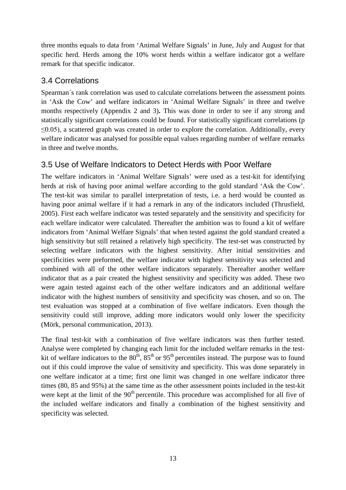three months equals to data from 'Animal Welfare Signals' in June, July and August for that specific herd. Herds among the 10% worst herds within a welfare indicator got a welfare remark for that specific indicator.

### 3.4 Correlations

Spearman´s rank correlation was used to calculate correlations between the assessment points in 'Ask the Cow' and welfare indicators in 'Animal Welfare Signals' in three and twelve months respectively (Appendix 2 and 3)**.** This was done in order to see if any strong and statistically significant correlations could be found. For statistically significant correlations (p  $\leq$ 0.05), a scattered graph was created in order to explore the correlation. Additionally, every welfare indicator was analysed for possible equal values regarding number of welfare remarks in three and twelve months.

## 3.5 Use of Welfare Indicators to Detect Herds with Poor Welfare

The welfare indicators in 'Animal Welfare Signals' were used as a test-kit for identifying herds at risk of having poor animal welfare according to the gold standard 'Ask the Cow'. The test-kit was similar to parallel interpretation of tests, i.e. a herd would be counted as having poor animal welfare if it had a remark in any of the indicators included (Thrusfield, 2005). First each welfare indicator was tested separately and the sensitivity and specificity for each welfare indicator were calculated. Thereafter the ambition was to found a kit of welfare indicators from 'Animal Welfare Signals' that when tested against the gold standard created a high sensitivity but still retained a relatively high specificity. The test-set was constructed by selecting welfare indicators with the highest sensitivity. After initial sensitivities and specificities were preformed, the welfare indicator with highest sensitivity was selected and combined with all of the other welfare indicators separately. Thereafter another welfare indicator that as a pair created the highest sensitivity and specificity was added. These two were again tested against each of the other welfare indicators and an additional welfare indicator with the highest numbers of sensitivity and specificity was chosen, and so on. The test evaluation was stopped at a combination of five welfare indicators. Even though the sensitivity could still improve, adding more indicators would only lower the specificity (Mörk, personal communication, 2013).

The final test-kit with a combination of five welfare indicators was then further tested. Analyse were completed by changing each limit for the included welfare remarks in the testkit of welfare indicators to the  $80^{th}$ ,  $85^{th}$  or  $95^{th}$  percentiles instead. The purpose was to found out if this could improve the value of sensitivity and specificity. This was done separately in one welfare indicator at a time; first one limit was changed in one welfare indicator three times (80, 85 and 95%) at the same time as the other assessment points included in the test-kit were kept at the limit of the  $90<sup>th</sup>$  percentile. This procedure was accomplished for all five of the included welfare indicators and finally a combination of the highest sensitivity and specificity was selected.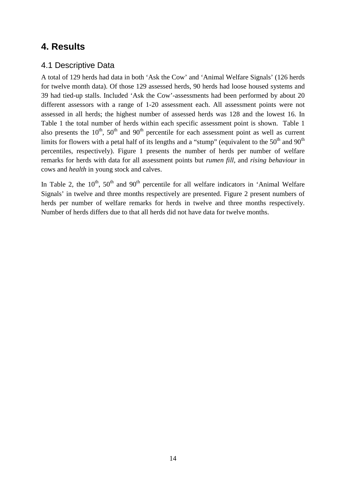## **4. Results**

### 4.1 Descriptive Data

A total of 129 herds had data in both 'Ask the Cow' and 'Animal Welfare Signals' (126 herds for twelve month data). Of those 129 assessed herds, 90 herds had loose housed systems and 39 had tied-up stalls. Included 'Ask the Cow'-assessments had been performed by about 20 different assessors with a range of 1-20 assessment each. All assessment points were not assessed in all herds; the highest number of assessed herds was 128 and the lowest 16. In Table 1 the total number of herds within each specific assessment point is shown. Table 1 also presents the  $10^{th}$ ,  $50^{th}$  and  $90^{th}$  percentile for each assessment point as well as current limits for flowers with a petal half of its lengths and a "stump" (equivalent to the  $50<sup>th</sup>$  and  $90<sup>th</sup>$ percentiles, respectively). Figure 1 presents the number of herds per number of welfare remarks for herds with data for all assessment points but *rumen fill*, and *rising behaviour* in cows and *health* in young stock and calves.

In Table 2, the  $10^{th}$ ,  $50^{th}$  and  $90^{th}$  percentile for all welfare indicators in 'Animal Welfare Signals' in twelve and three months respectively are presented. Figure 2 present numbers of herds per number of welfare remarks for herds in twelve and three months respectively. Number of herds differs due to that all herds did not have data for twelve months.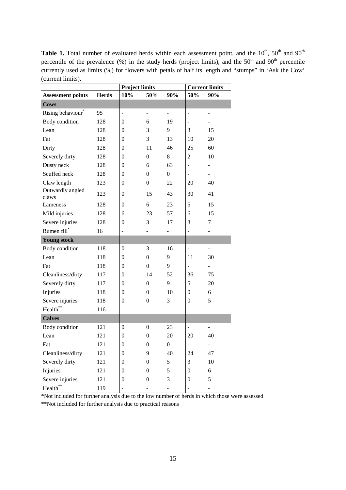Table 1. Total number of evaluated herds within each assessment point, and the 10<sup>th</sup>, 50<sup>th</sup> and 90<sup>th</sup> percentile of the prevalence (%) in the study herds (project limits), and the  $50<sup>th</sup>$  and  $90<sup>th</sup>$  percentile currently used as limits (%) for flowers with petals of half its length and "stumps" in 'Ask the Cow' (current limits).

|                               |              | <b>Project limits</b>        |                          |                  | <b>Current limits</b>        |                          |  |
|-------------------------------|--------------|------------------------------|--------------------------|------------------|------------------------------|--------------------------|--|
| <b>Assessment points</b>      | <b>Herds</b> | 10%                          | 50%                      | 90%              | 50%                          | 90%                      |  |
| <b>Cows</b>                   |              |                              |                          |                  |                              |                          |  |
| Rising behaviour <sup>*</sup> | 95           | ÷                            | $\overline{\phantom{a}}$ | -                | $\qquad \qquad \blacksquare$ | $\overline{\phantom{0}}$ |  |
| <b>Body</b> condition         | 128          | $\mathbf{0}$                 | 6                        | 19               | $\qquad \qquad \blacksquare$ |                          |  |
| Lean                          | 128          | $\mathbf{0}$                 | 3                        | 9                | 3                            | 15                       |  |
| Fat                           | 128          | $\mathbf{0}$                 | 3                        | 13               | 10                           | 20                       |  |
| Dirty                         | 128          | $\theta$                     | 11                       | 46               | 25                           | 60                       |  |
| Severely dirty                | 128          | $\mathbf{0}$                 | $\boldsymbol{0}$         | 8                | $\mathbf{2}$                 | 10                       |  |
| Dusty neck                    | 128          | $\mathbf{0}$                 | 6                        | 63               | $\qquad \qquad \blacksquare$ | -                        |  |
| Scuffed neck                  | 128          | $\boldsymbol{0}$             | $\boldsymbol{0}$         | $\boldsymbol{0}$ | $\blacksquare$               | $\overline{\phantom{0}}$ |  |
| Claw length                   | 123          | $\mathbf{0}$                 | $\boldsymbol{0}$         | 22               | 20                           | 40                       |  |
| Outwardly angled<br>claws     | 123          | $\theta$                     | 15                       | 43               | 30                           | 41                       |  |
| Lameness                      | 128          | $\boldsymbol{0}$             | 6                        | 23               | 5                            | 15                       |  |
| Mild injuries                 | 128          | 6                            | 23                       | 57               | 6                            | 15                       |  |
| Severe injuries               | 128          | $\boldsymbol{0}$             | 3                        | 17               | 3                            | 7                        |  |
| Rumen fill*                   | 16           | -                            |                          |                  |                              | ÷,                       |  |
| <b>Young stock</b>            |              |                              |                          |                  |                              |                          |  |
| Body condition                | 118          | $\boldsymbol{0}$             | 3                        | 16               | $\overline{a}$               |                          |  |
| Lean                          | 118          | $\boldsymbol{0}$             | $\boldsymbol{0}$         | 9                | 11                           | 30                       |  |
| Fat                           | 118          | $\theta$                     | $\boldsymbol{0}$         | 9                | -                            |                          |  |
| Cleanliness/dirty             | 117          | $\boldsymbol{0}$             | 14                       | 52               | 36                           | 75                       |  |
| Severely dirty                | 117          | $\boldsymbol{0}$             | $\boldsymbol{0}$         | 9                | 5                            | 20                       |  |
| Injuries                      | 118          | $\boldsymbol{0}$             | $\boldsymbol{0}$         | 10               | $\overline{0}$               | 6                        |  |
| Severe injuries               | 118          | $\boldsymbol{0}$             | $\boldsymbol{0}$         | 3                | $\mathbf{0}$                 | 5                        |  |
| Health**                      | 116          | $\qquad \qquad \blacksquare$ |                          | -                | $\overline{a}$               | ÷,                       |  |
| <b>Calves</b>                 |              |                              |                          |                  |                              |                          |  |
| Body condition                | 121          | $\boldsymbol{0}$             | $\boldsymbol{0}$         | 23               | $\overline{a}$               | -                        |  |
| Lean                          | 121          | $\boldsymbol{0}$             | $\boldsymbol{0}$         | 20               | 20                           | 40                       |  |
| Fat                           | 121          | $\mathbf{0}$                 | 0                        | 0                | $\qquad \qquad \blacksquare$ |                          |  |
| Cleanliness/dirty             | 121          | $\boldsymbol{0}$             | 9                        | 40               | 24                           | 47                       |  |
| Severely dirty                | 121          | $\boldsymbol{0}$             | $\boldsymbol{0}$         | 5                | 3                            | 10                       |  |
| Injuries                      | 121          | $\boldsymbol{0}$             | $\boldsymbol{0}$         | 5                | $\boldsymbol{0}$             | 6                        |  |
| Severe injuries               | 121          | $\boldsymbol{0}$             | $\boldsymbol{0}$         | 3                | $\boldsymbol{0}$             | 5                        |  |
| Health**                      | 119          |                              |                          |                  |                              | $\overline{\phantom{0}}$ |  |

\*Not included for further analysis due to the low number of herds in which those were assessed

\*\*Not included for further analysis due to practical reasons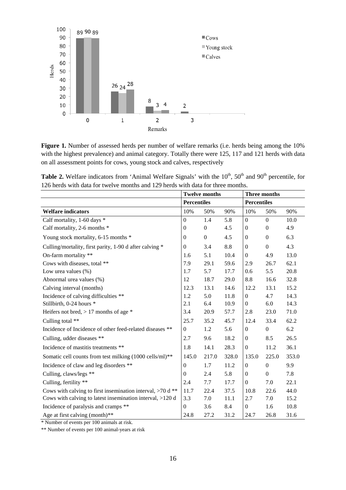

Figure 1. Number of assessed herds per number of welfare remarks (i.e. herds being among the 10% with the highest prevalence) and animal category. Totally there were 125, 117 and 121 herds with data on all assessment points for cows, young stock and calves, respectively

Table 2. Welfare indicators from 'Animal Welfare Signals' with the 10<sup>th</sup>, 50<sup>th</sup> and 90<sup>th</sup> percentile, for 126 herds with data for twelve months and 129 herds with data for three months.

|                                                              | <b>Twelve months</b> |                |       | <b>Three months</b> |                  |       |
|--------------------------------------------------------------|----------------------|----------------|-------|---------------------|------------------|-------|
|                                                              | <b>Percentiles</b>   |                |       | <b>Percentiles</b>  |                  |       |
| <b>Welfare indicators</b>                                    | 10%                  | 50%            | 90%   | 10%                 | 50%              | 90%   |
| Calf mortality, 1-60 days *                                  | $\overline{0}$       | 1.4            | 5.8   | $\boldsymbol{0}$    | $\overline{0}$   | 10.0  |
| Calf mortality, 2-6 months *                                 | $\mathbf{0}$         | $\overline{0}$ | 4.5   | $\boldsymbol{0}$    | $\overline{0}$   | 4.9   |
| Young stock mortality, 6-15 months *                         | $\Omega$             | $\Omega$       | 4.5   | $\boldsymbol{0}$    | $\boldsymbol{0}$ | 6.3   |
| Culling/mortality, first parity, 1-90 d after calving *      | $\Omega$             | 3.4            | 8.8   | $\boldsymbol{0}$    | $\boldsymbol{0}$ | 4.3   |
| On-farm mortality **                                         | 1.6                  | 5.1            | 10.4  | $\boldsymbol{0}$    | 4.9              | 13.0  |
| Cows with diseases, total **                                 | 7.9                  | 29.1           | 59.6  | 2.9                 | 26.7             | 62.1  |
| Low urea values $(\%)$                                       | 1.7                  | 5.7            | 17.7  | 0.6                 | 5.5              | 20.8  |
| Abnormal urea values (%)                                     | 12                   | 18.7           | 29.0  | 8.8                 | 16.6             | 32.8  |
| Calving interval (months)                                    | 12.3                 | 13.1           | 14.6  | 12.2                | 13.1             | 15.2  |
| Incidence of calving difficulties **                         | 1.2                  | 5.0            | 11.8  | $\boldsymbol{0}$    | 4.7              | 14.3  |
| Stillbirth, 0-24 hours *                                     | 2.1                  | 6.4            | 10.9  | $\overline{0}$      | 6.0              | 14.3  |
| Heifers not bred, $> 17$ months of age $*$                   | 3.4                  | 20.9           | 57.7  | 2.8                 | 23.0             | 71.0  |
| Culling total **                                             | 25.7                 | 35.2           | 45.7  | 12.4                | 33.4             | 62.2  |
| Incidence of Incidence of other feed-related diseases **     | $\boldsymbol{0}$     | 1.2            | 5.6   | $\boldsymbol{0}$    | $\overline{0}$   | 6.2   |
| Culling, udder diseases **                                   | 2.7                  | 9.6            | 18.2  | $\boldsymbol{0}$    | 8.5              | 26.5  |
| Incidence of mastitis treatments **                          | 1.8                  | 14.1           | 28.3  | $\boldsymbol{0}$    | 11.2             | 36.1  |
| Somatic cell counts from test milking (1000 cells/ml)**      | 145.0                | 217.0          | 328.0 | 135.0               | 225.0            | 353.0 |
| Incidence of claw and leg disorders **                       | $\overline{0}$       | 1.7            | 11.2  | $\overline{0}$      | $\boldsymbol{0}$ | 9.9   |
| Culling, claws/legs **                                       | $\Omega$             | 2.4            | 5.8   | $\boldsymbol{0}$    | $\boldsymbol{0}$ | 7.8   |
| Culling, fertility **                                        | 2.4                  | 7.7            | 17.7  | $\boldsymbol{0}$    | 7.0              | 22.1  |
| Cows with calving to first insemination interval, $>70$ d ** | 11.7                 | 22.4           | 37.5  | 10.8                | 22.6             | 44.0  |
| Cows with calving to latest insemination interval, >120 d    | 3.3                  | 7.0            | 11.1  | 2.7                 | 7.0              | 15.2  |
| Incidence of paralysis and cramps **                         | $\boldsymbol{0}$     | 3.6            | 8.4   | $\boldsymbol{0}$    | 1.6              | 10.8  |
| Age at first calving (month)**                               | 24.8                 | 27.2           | 31.2  | 24.7                | 26.8             | 31.6  |

\* Number of events per 100 animals at risk.

\*\* Number of events per 100 animal-years at risk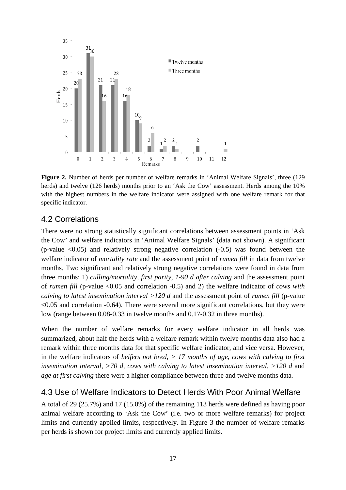

**Figure 2.** Number of herds per number of welfare remarks in 'Animal Welfare Signals', three (129 herds) and twelve (126 herds) months prior to an 'Ask the Cow' assessment. Herds among the 10% with the highest numbers in the welfare indicator were assigned with one welfare remark for that specific indicator.

#### 4.2 Correlations

There were no strong statistically significant correlations between assessment points in 'Ask the Cow' and welfare indicators in 'Animal Welfare Signals' (data not shown). A significant (p-value  $\leq 0.05$ ) and relatively strong negative correlation  $(-0.5)$  was found between the welfare indicator of *mortality rate* and the assessment point of *rumen fill* in data from twelve months. Two significant and relatively strong negative correlations were found in data from three months; 1) *culling/mortality, first parity, 1-90 d after calving* and the assessment point of *rumen fill* (p-value <0.05 and correlation -0.5) and 2) the welfare indicator of *cows with calving to latest insemination interval >120 d* and the assessment point of *rumen fill* (p-value  $< 0.05$  and correlation  $-0.64$ ). There were several more significant correlations, but they were low (range between 0.08-0.33 in twelve months and 0.17-0.32 in three months).

When the number of welfare remarks for every welfare indicator in all herds was summarized, about half the herds with a welfare remark within twelve months data also had a remark within three months data for that specific welfare indicator, and vice versa. However, in the welfare indicators of *heifers not bred, > 17 months of age, cows with calving to first insemination interval, >70 d, cows with calving to latest insemination interval, >120 d and age at first calving* there were a higher compliance between three and twelve months data*.* 

#### 4.3 Use of Welfare Indicators to Detect Herds With Poor Animal Welfare

A total of 29 (25.7%) and 17 (15.0%) of the remaining 113 herds were defined as having poor animal welfare according to 'Ask the Cow' (i.e. two or more welfare remarks) for project limits and currently applied limits, respectively. In Figure 3 the number of welfare remarks per herds is shown for project limits and currently applied limits.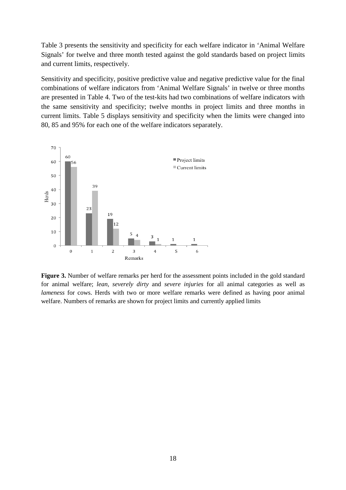Table 3 presents the sensitivity and specificity for each welfare indicator in 'Animal Welfare Signals' for twelve and three month tested against the gold standards based on project limits and current limits, respectively.

Sensitivity and specificity, positive predictive value and negative predictive value for the final combinations of welfare indicators from 'Animal Welfare Signals' in twelve or three months are presented in Table 4. Two of the test-kits had two combinations of welfare indicators with the same sensitivity and specificity; twelve months in project limits and three months in current limits. Table 5 displays sensitivity and specificity when the limits were changed into 80, 85 and 95% for each one of the welfare indicators separately.



**Figure 3.** Number of welfare remarks per herd for the assessment points included in the gold standard for animal welfare; *lean, severely dirty* and *severe injuries* for all animal categories as well as *lameness* for cows. Herds with two or more welfare remarks were defined as having poor animal welfare. Numbers of remarks are shown for project limits and currently applied limits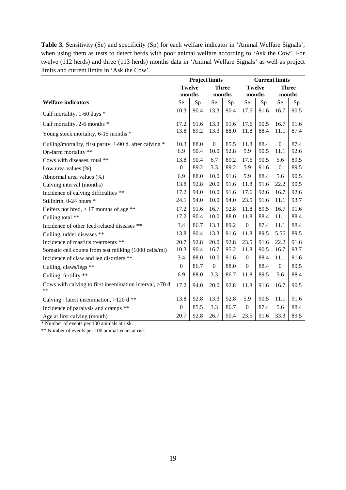**Table 3.** Sensitivity (Se) and specificity (Sp) for each welfare indicator in 'Animal Welfare Signals', when using them as tests to detect herds with poor animal welfare according to 'Ask the Cow'. For twelve (112 herds) and three (113 herds) months data in 'Animal Welfare Signals' as well as project limits and current limits in 'Ask the Cow'.

|                                                                                  | <b>Project limits</b> |               |                  | <b>Current limits</b>  |                  |               |                        |              |
|----------------------------------------------------------------------------------|-----------------------|---------------|------------------|------------------------|------------------|---------------|------------------------|--------------|
|                                                                                  | months                | <b>Twelve</b> |                  | <b>Three</b><br>months | months           | <b>Twelve</b> | months                 | <b>Three</b> |
| <b>Welfare indicators</b>                                                        | Se                    | Sp            | Se               | Sp                     | Se<br>Sp         |               | Se                     | Sp           |
| Calf mortality, 1-60 days *                                                      | 10.3                  | 90.4          | 13.3             | 90.4                   | 17.6             | 91.6          | 16.7                   | 90.5         |
| Calf mortality, 2-6 months *                                                     | 17.2                  | 91.6          | 13.3             | 91.6                   | 17.6             | 90.5          | 16.7                   | 91.6         |
| Young stock mortality, 6-15 months *                                             | 13.8                  | 89.2          | 13.3             | 88.0                   | 11.8             | 88.4          | 11.1                   | 87.4         |
| Culling/mortality, first parity, 1-90 d. after calving *<br>On-farm mortality ** | 10.3<br>6.9           | 88.0<br>90.4  | $\Omega$<br>10.0 | 85.5<br>92.8           | 11.8<br>5.9      | 88.4<br>90.5  | $\overline{0}$<br>11.1 | 87.4<br>92.6 |
| Cows with diseases, total **                                                     | 13.8                  | 90.4          | 6.7              | 89.2                   | 17.6             | 90.5          | 5.6                    | 89.5         |
| Low urea values $(\%)$                                                           | $\boldsymbol{0}$      | 89.2          | 3.3              | 89.2                   | 5.9              | 91.6          | $\boldsymbol{0}$       | 89.5         |
| Abnormal urea values (%)                                                         | 6.9                   | 88.0          | 10.0             | 91.6                   | 5.9              | 88.4          | 5.6                    | 90.5         |
| Calving interval (months)                                                        | 13.8                  | 92.8          | 20.0             | 91.6                   | 11.8             | 91.6          | 22.2                   | 90.5         |
| Incidence of calving difficulties **                                             | 17.2                  | 94.0          | 10.0             | 91.6                   | 17.6             | 92.6          | 16.7                   | 92.6         |
| Stillbirth, 0-24 hours *                                                         | 24.1                  | 94.0          | 10.0             | 94.0                   | 23.5             | 91.6          | 11.1                   | 93.7         |
| Heifers not bred, $> 17$ months of age **                                        | 17.2                  | 91.6          | 16.7             | 92.8                   | 11.8             | 89.5          | 16.7                   | 91.6         |
| Culling total **                                                                 | 17.2                  | 90.4          | 10.0             | 88.0                   | 11.8             | 88.4          | 11.1                   | 88.4         |
| Incidence of other feed-related diseases **                                      | 3.4                   | 86.7          | 13.3             | 89.2                   | $\boldsymbol{0}$ | 87.4          | 11.1                   | 88.4         |
| Culling, udder diseases **                                                       | 13.8                  | 90.4          | 13.3             | 91.6                   | 11.8             | 89.5          | 5.56                   | 89.5         |
| Incidence of mastitis treatments **                                              | 20.7                  | 92.8          | 20.0             | 92.8                   | 23.5             | 91.6          | 22.2                   | 91.6         |
| Somatic cell counts from test milking (1000 cells/ml)                            | 10.3                  | 90.4          | 16.7             | 95.2                   | 11.8             | 90.5          | 16.7                   | 93.7         |
| Incidence of claw and leg disorders **                                           | 3.4                   | 88.0          | 10.0             | 91.6                   | $\boldsymbol{0}$ | 88.4          | 11.1                   | 91.6         |
| Culling, claws/legs **                                                           | $\boldsymbol{0}$      | 86.7          | $\overline{0}$   | 88.0                   | $\boldsymbol{0}$ | 88.4          | $\Omega$               | 89.5         |
| Culling, fertility **                                                            | 6.9                   | 88.0          | 3.3              | 86.7                   | 11.8             | 89.5          | 5.6                    | 88.4         |
| Cows with calving to first insemination interval, $>70$ d<br>**                  | 17.2                  | 94.0          | 20.0             | 92.8                   | 11.8             | 91.6          | 16.7                   | 90.5         |
| Calving - latest insemination, $>120$ d **                                       | 13.8                  | 92.8          | 13.3             | 92.8                   | 5.9              | 90.5          | 11.1                   | 91.6         |
| Incidence of paralysis and cramps **                                             | $\mathbf{0}$          | 85.5          | 3.3              | 86.7                   | $\boldsymbol{0}$ | 87.4          | 5.6                    | 88.4         |
| Age at first calving (month)                                                     | 20.7                  | 92.8          | 26.7             | 90.4                   | 23.5             | 91.6          | 33.3                   | 89.5         |

\* Number of events per 100 animals at risk.

\*\* Number of events per 100 animal-years at risk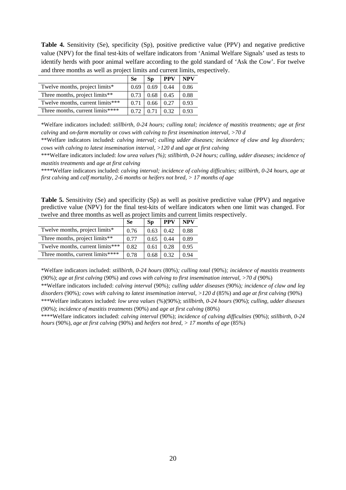**Table 4.** Sensitivity (Se), specificity (Sp), positive predictive value (PPV) and negative predictive value (NPV) for the final test-kits of welfare indicators from 'Animal Welfare Signals' used as tests to identify herds with poor animal welfare according to the gold standard of 'Ask the Cow'. For twelve and three months as well as project limits and current limits, respectively.

|                                  | <b>Se</b> | Sp   | <b>PPV</b> | NPV  |
|----------------------------------|-----------|------|------------|------|
| Twelve months, project limits*   | 0.69      | 0.69 | 0.44       | 0.86 |
| Three months, project limits**   | 0.73      | 0.68 | 0.45       | 0.88 |
| Twelve months, current limits*** | 0.71      | 0.66 | 0.27       | 0.93 |
| Three months, current limits**** | 0.72      |      | ገ 32       | 0.93 |

\*Welfare indicators included: *stillbirth, 0-24 hours; culling total; incidence of mastitis treatments; age at first calving* and *on-farm mortality* or *cows with calving to first insemination interval, >70 d*

\*\*Welfare indicators included: *calving interval; culling udder diseases; incidence of claw and leg disorders; cows with calving to latest insemination interval, >120 d* and *age at first calving*

\*\*\*Welfare indicators included: *low urea values (%); stillbirth, 0-24 hours; culling, udder diseases; incidence of mastitis treatments* and *age at first calving*

\*\*\*\*Welfare indicators included: *calving interval; incidence of calving difficulties; stillbirth, 0-24 hours, age at first calving* and *calf mortality, 2-6 months* or *heifers not bred, > 17 months of age*

**Table 5.** Sensitivity (Se) and specificity (Sp) as well as positive predictive value (PPV) and negative predictive value (NPV) for the final test-kits of welfare indicators when one limit was changed. For twelve and three months as well as project limits and current limits respectively.

|                                  | <b>Se</b> | <b>Sp</b> | <b>PPV</b> | <b>NPV</b> |
|----------------------------------|-----------|-----------|------------|------------|
| Twelve months, project limits*   | 0.76      | 0.63      | 0.42       | 0.88       |
| Three months, project limits**   | 0.77      | 0.65      | 0.44       | 0.89       |
| Twelve months, current limits*** | 0.82      | 0.61      | 0.28       | 0.95       |
| Three months, current limits**** | 0.78      | 0.68      | 0.32       | 0.94       |

\*Welfare indicators included: *stillbirth, 0-24 hours* (80%)*; culling total* (90%)*; incidence of mastitis treatments*  (90%); *age at first calving* (90%) and *cows with calving to first insemination interval, >70 d* (90%)

\*\*Welfare indicators included: *calving interval* (90%)*; culling udder diseases* (90%)*; incidence of claw and leg disorders* (90%)*; cows with calving to latest insemination interval, >120 d (85%) and <i>age at first calving* (90%) \*\*\*Welfare indicators included: *low urea values* (%)(90%); *stillbirth, 0-24 hours* (90%); *culling, udder diseases* (90%); *incidence of mastitis treatments* (90%) and *age at first calving* (80%)

\*\*\*\*Welfare indicators included: *calving interval* (90%); *incidence of calving difficulties* (90%); *stillbirth, 0-24 hours* (90%), *age at first calving* (90%) and *heifers not bred, > 17 months of age* (85%)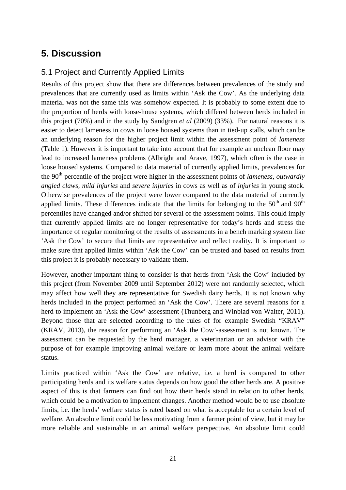# **5. Discussion**

## 5.1 Project and Currently Applied Limits

Results of this project show that there are differences between prevalences of the study and prevalences that are currently used as limits within 'Ask the Cow'. As the underlying data material was not the same this was somehow expected. It is probably to some extent due to the proportion of herds with loose-house systems, which differed between herds included in this project (70%) and in the study by Sandgren *et al* (2009) (33%). For natural reasons it is easier to detect lameness in cows in loose housed systems than in tied-up stalls, which can be an underlying reason for the higher project limit within the assessment point of *lameness* (Table 1). However it is important to take into account that for example an unclean floor may lead to increased lameness problems (Albright and Arave, 1997), which often is the case in loose housed systems. Compared to data material of currently applied limits, prevalences for the 90<sup>th</sup> percentile of the project were higher in the assessment points of *lameness*, *outwardly angled claws, mild injuries* and *severe injuries* in cows as well as of *injuries* in young stock. Otherwise prevalences of the project were lower compared to the data material of currently applied limits. These differences indicate that the limits for belonging to the  $50<sup>th</sup>$  and  $90<sup>th</sup>$ percentiles have changed and/or shifted for several of the assessment points. This could imply that currently applied limits are no longer representative for today's herds and stress the importance of regular monitoring of the results of assessments in a bench marking system like 'Ask the Cow' to secure that limits are representative and reflect reality. It is important to make sure that applied limits within 'Ask the Cow' can be trusted and based on results from this project it is probably necessary to validate them.

However, another important thing to consider is that herds from 'Ask the Cow' included by this project (from November 2009 until September 2012) were not randomly selected, which may affect how well they are representative for Swedish dairy herds. It is not known why herds included in the project performed an 'Ask the Cow'. There are several reasons for a herd to implement an 'Ask the Cow'-assessment (Thunberg and Winblad von Walter, 2011). Beyond those that are selected according to the rules of for example Swedish "KRAV" (KRAV, 2013), the reason for performing an 'Ask the Cow'-assessment is not known. The assessment can be requested by the herd manager, a veterinarian or an advisor with the purpose of for example improving animal welfare or learn more about the animal welfare status.

Limits practiced within 'Ask the Cow' are relative, i.e. a herd is compared to other participating herds and its welfare status depends on how good the other herds are. A positive aspect of this is that farmers can find out how their herds stand in relation to other herds, which could be a motivation to implement changes. Another method would be to use absolute limits, i.e. the herds' welfare status is rated based on what is acceptable for a certain level of welfare. An absolute limit could be less motivating from a farmer point of view, but it may be more reliable and sustainable in an animal welfare perspective. An absolute limit could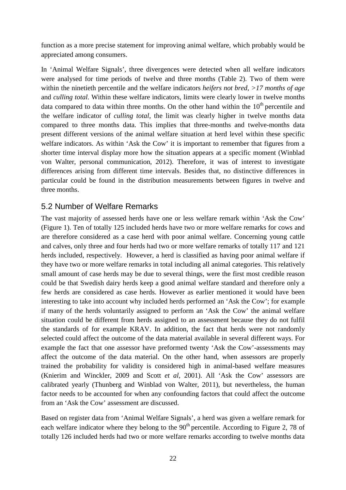function as a more precise statement for improving animal welfare, which probably would be appreciated among consumers.

In 'Animal Welfare Signals', three divergences were detected when all welfare indicators were analysed for time periods of twelve and three months (Table 2). Two of them were within the ninetieth percentile and the welfare indicators *heifers not bred, >17 months of age* and *culling total*. Within these welfare indicators, limits were clearly lower in twelve months data compared to data within three months. On the other hand within the  $10<sup>th</sup>$  percentile and the welfare indicator of *culling total*, the limit was clearly higher in twelve months data compared to three months data. This implies that three-months and twelve-months data present different versions of the animal welfare situation at herd level within these specific welfare indicators. As within 'Ask the Cow' it is important to remember that figures from a shorter time interval display more how the situation appears at a specific moment (Winblad von Walter, personal communication, 2012). Therefore, it was of interest to investigate differences arising from different time intervals. Besides that, no distinctive differences in particular could be found in the distribution measurements between figures in twelve and three months.

#### 5.2 Number of Welfare Remarks

The vast majority of assessed herds have one or less welfare remark within 'Ask the Cow' (Figure 1). Ten of totally 125 included herds have two or more welfare remarks for cows and are therefore considered as a case herd with poor animal welfare. Concerning young cattle and calves, only three and four herds had two or more welfare remarks of totally 117 and 121 herds included, respectively. However, a herd is classified as having poor animal welfare if they have two or more welfare remarks in total including all animal categories. This relatively small amount of case herds may be due to several things, were the first most credible reason could be that Swedish dairy herds keep a good animal welfare standard and therefore only a few herds are considered as case herds. However as earlier mentioned it would have been interesting to take into account why included herds performed an 'Ask the Cow'; for example if many of the herds voluntarily assigned to perform an 'Ask the Cow' the animal welfare situation could be different from herds assigned to an assessment because they do not fulfil the standards of for example KRAV. In addition, the fact that herds were not randomly selected could affect the outcome of the data material available in several different ways. For example the fact that one assessor have preformed twenty 'Ask the Cow'-assessments may affect the outcome of the data material. On the other hand, when assessors are properly trained the probability for validity is considered high in animal-based welfare measures (Knierim and Winckler, 2009 and Scott *et al*, 2001). All 'Ask the Cow' assessors are calibrated yearly (Thunberg and Winblad von Walter, 2011), but nevertheless, the human factor needs to be accounted for when any confounding factors that could affect the outcome from an 'Ask the Cow' assessment are discussed.

Based on register data from 'Animal Welfare Signals', a herd was given a welfare remark for each welfare indicator where they belong to the  $90<sup>th</sup>$  percentile. According to Figure 2, 78 of totally 126 included herds had two or more welfare remarks according to twelve months data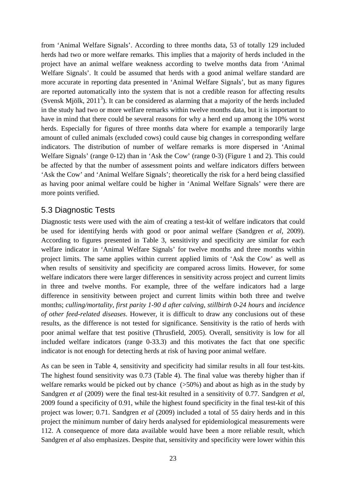from 'Animal Welfare Signals'. According to three months data, 53 of totally 129 included herds had two or more welfare remarks. This implies that a majority of herds included in the project have an animal welfare weakness according to twelve months data from 'Animal Welfare Signals'. It could be assumed that herds with a good animal welfare standard are more accurate in reporting data presented in 'Animal Welfare Signals', but as many figures are reported automatically into the system that is not a credible reason for affecting results (Svensk Mjölk,  $2011<sup>3</sup>$ ). It can be considered as alarming that a majority of the herds included in the study had two or more welfare remarks within twelve months data, but it is important to have in mind that there could be several reasons for why a herd end up among the 10% worst herds. Especially for figures of three months data where for example a temporarily large amount of culled animals (excluded cows) could cause big changes in corresponding welfare indicators. The distribution of number of welfare remarks is more dispersed in 'Animal Welfare Signals' (range 0-12) than in 'Ask the Cow' (range 0-3) (Figure 1 and 2). This could be affected by that the number of assessment points and welfare indicators differs between 'Ask the Cow' and 'Animal Welfare Signals'; theoretically the risk for a herd being classified as having poor animal welfare could be higher in 'Animal Welfare Signals' were there are more points verified.

#### 5.3 Diagnostic Tests

Diagnostic tests were used with the aim of creating a test-kit of welfare indicators that could be used for identifying herds with good or poor animal welfare (Sandgren *et al*, 2009). According to figures presented in Table 3, sensitivity and specificity are similar for each welfare indicator in 'Animal Welfare Signals' for twelve months and three months within project limits. The same applies within current applied limits of 'Ask the Cow' as well as when results of sensitivity and specificity are compared across limits. However, for some welfare indicators there were larger differences in sensitivity across project and current limits in three and twelve months. For example, three of the welfare indicators had a large difference in sensitivity between project and current limits within both three and twelve months; *culling/mortality, first parity 1-90 d after calving, stillbirth 0-24 hours* and *incidence of other feed-related diseases*. However, it is difficult to draw any conclusions out of these results, as the difference is not tested for significance. Sensitivity is the ratio of herds with poor animal welfare that test positive (Thrusfield, 2005). Overall, sensitivity is low for all included welfare indicators (range 0-33.3) and this motivates the fact that one specific indicator is not enough for detecting herds at risk of having poor animal welfare.

As can be seen in Table 4, sensitivity and specificity had similar results in all four test-kits. The highest found sensitivity was 0.73 (Table 4). The final value was thereby higher than if welfare remarks would be picked out by chance ( $>50\%$ ) and about as high as in the study by Sandgren *et al* (2009) were the final test-kit resulted in a sensitivity of 0.77. Sandgren *et al*, 2009 found a specificity of 0.91, while the highest found specificity in the final test-kit of this project was lower; 0.71. Sandgren *et al* (2009) included a total of 55 dairy herds and in this project the minimum number of dairy herds analysed for epidemiological measurements were 112. A consequence of more data available would have been a more reliable result, which Sandgren *et al* also emphasizes. Despite that, sensitivity and specificity were lower within this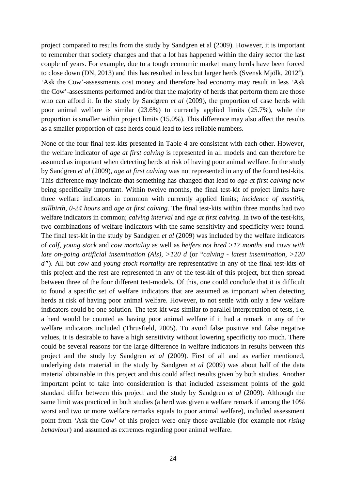project compared to results from the study by Sandgren et al (2009). However, it is important to remember that society changes and that a lot has happened within the dairy sector the last couple of years. For example, due to a tough economic market many herds have been forced to close down (DN, 2013) and this has resulted in less but larger herds (Svensk Mjölk, 2012<sup>3</sup>). 'Ask the Cow'-assessments cost money and therefore bad economy may result in less 'Ask the Cow'-assessments performed and/or that the majority of herds that perform them are those who can afford it. In the study by Sandgren *et al* (2009), the proportion of case herds with poor animal welfare is similar (23.6%) to currently applied limits (25.7%), while the proportion is smaller within project limits (15.0%). This difference may also affect the results as a smaller proportion of case herds could lead to less reliable numbers.

None of the four final test-kits presented in Table 4 are consistent with each other. However, the welfare indicator of *age at first calving* is represented in all models and can therefore be assumed as important when detecting herds at risk of having poor animal welfare. In the study by Sandgren *et al* (2009), *age at first calving* was not represented in any of the found test-kits. This difference may indicate that something has changed that lead to *age at first calving* now being specifically important. Within twelve months, the final test-kit of project limits have three welfare indicators in common with currently applied limits; *incidence of mastitis, stillbirth, 0-24 hours* and *age at first calving.* The final test-kits within three months had two welfare indicators in common; *calving interval* and *age at first calving.* In two of the test-kits, two combinations of welfare indicators with the same sensitivity and specificity were found. The final test-kit in the study by Sandgren *et al* (2009) was included by the welfare indicators of *calf, young stock* and *cow mortality* as well as *heifers not bred >17 months* and *cows with late on-going artificial insemination (Als), >120 d* (or "*calving - latest insemination, >120 d"*). All but *cow* and *young stock mortality* are representative in any of the final test-kits of this project and the rest are represented in any of the test-kit of this project, but then spread between three of the four different test-models. Of this, one could conclude that it is difficult to found a specific set of welfare indicators that are assumed as important when detecting herds at risk of having poor animal welfare. However, to not settle with only a few welfare indicators could be one solution. The test-kit was similar to parallel interpretation of tests, i.e. a herd would be counted as having poor animal welfare if it had a remark in any of the welfare indicators included (Thrusfield, 2005). To avoid false positive and false negative values, it is desirable to have a high sensitivity without lowering specificity too much. There could be several reasons for the large difference in welfare indicators in results between this project and the study by Sandgren *et al* (2009). First of all and as earlier mentioned, underlying data material in the study by Sandgren *et al* (2009) was about half of the data material obtainable in this project and this could affect results given by both studies. Another important point to take into consideration is that included assessment points of the gold standard differ between this project and the study by Sandgren *et al* (2009). Although the same limit was practiced in both studies (a herd was given a welfare remark if among the 10% worst and two or more welfare remarks equals to poor animal welfare), included assessment point from 'Ask the Cow' of this project were only those available (for example not *rising behaviour*) and assumed as extremes regarding poor animal welfare.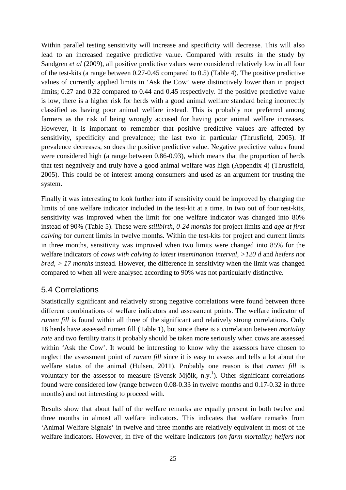Within parallel testing sensitivity will increase and specificity will decrease. This will also lead to an increased negative predictive value. Compared with results in the study by Sandgren *et al* (2009), all positive predictive values were considered relatively low in all four of the test-kits (a range between 0.27-0.45 compared to 0.5) (Table 4). The positive predictive values of currently applied limits in 'Ask the Cow' were distinctively lower than in project limits; 0.27 and 0.32 compared to 0.44 and 0.45 respectively. If the positive predictive value is low, there is a higher risk for herds with a good animal welfare standard being incorrectly classified as having poor animal welfare instead. This is probably not preferred among farmers as the risk of being wrongly accused for having poor animal welfare increases. However, it is important to remember that positive predictive values are affected by sensitivity, specificity and prevalence; the last two in particular (Thrusfield, 2005). If prevalence decreases, so does the positive predictive value. Negative predictive values found were considered high (a range between 0.86-0.93), which means that the proportion of herds that test negatively and truly have a good animal welfare was high (Appendix 4) (Thrusfield, 2005). This could be of interest among consumers and used as an argument for trusting the system.

Finally it was interesting to look further into if sensitivity could be improved by changing the limits of one welfare indicator included in the test-kit at a time. In two out of four test-kits, sensitivity was improved when the limit for one welfare indicator was changed into 80% instead of 90% (Table 5). These were *stillbirth, 0-24 months* for project limits and *age at first calving* for current limits in twelve months. Within the test-kits for project and current limits in three months, sensitivity was improved when two limits were changed into 85% for the welfare indicators of *cows with calving to latest insemination interval,* >120 d and *heifers not bred, > 17 months* instead. However, the difference in sensitivity when the limit was changed compared to when all were analysed according to 90% was not particularly distinctive.

## 5.4 Correlations

Statistically significant and relatively strong negative correlations were found between three different combinations of welfare indicators and assessment points. The welfare indicator of *rumen fill* is found within all three of the significant and relatively strong correlations. Only 16 herds have assessed rumen fill (Table 1), but since there is a correlation between *mortality rate* and two fertility traits it probably should be taken more seriously when cows are assessed within 'Ask the Cow'. It would be interesting to know why the assessors have chosen to neglect the assessment point of *rumen fill* since it is easy to assess and tells a lot about the welfare status of the animal (Hulsen, 2011). Probably one reason is that *rumen fill* is voluntary for the assessor to measure (Svensk Mjölk, n.y.<sup>1</sup>). Other significant correlations found were considered low (range between 0.08-0.33 in twelve months and 0.17-0.32 in three months) and not interesting to proceed with.

Results show that about half of the welfare remarks are equally present in both twelve and three months in almost all welfare indicators. This indicates that welfare remarks from 'Animal Welfare Signals' in twelve and three months are relatively equivalent in most of the welfare indicators. However, in five of the welfare indicators (*on farm mortality; heifers not*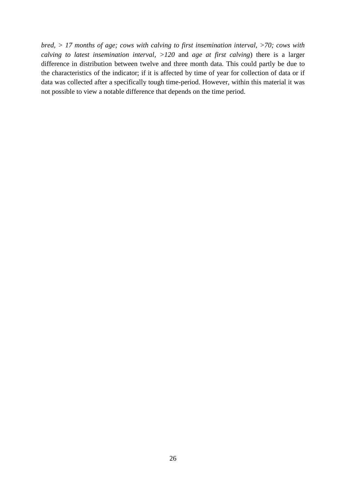*bred, > 17 months of age; cows with calving to first insemination interval, >70; cows with calving to latest insemination interval, >120* and *age at first calving*) there is a larger difference in distribution between twelve and three month data. This could partly be due to the characteristics of the indicator; if it is affected by time of year for collection of data or if data was collected after a specifically tough time-period. However, within this material it was not possible to view a notable difference that depends on the time period.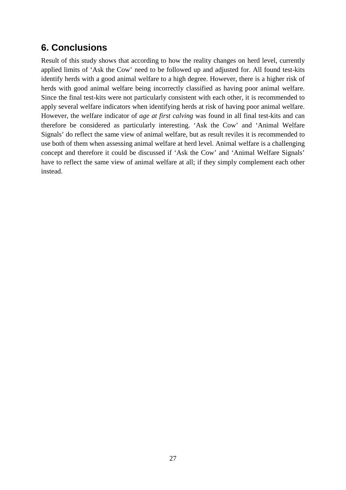## **6. Conclusions**

Result of this study shows that according to how the reality changes on herd level, currently applied limits of 'Ask the Cow' need to be followed up and adjusted for. All found test-kits identify herds with a good animal welfare to a high degree. However, there is a higher risk of herds with good animal welfare being incorrectly classified as having poor animal welfare. Since the final test-kits were not particularly consistent with each other, it is recommended to apply several welfare indicators when identifying herds at risk of having poor animal welfare. However, the welfare indicator of *age at first calving* was found in all final test-kits and can therefore be considered as particularly interesting. 'Ask the Cow' and 'Animal Welfare Signals' do reflect the same view of animal welfare, but as result reviles it is recommended to use both of them when assessing animal welfare at herd level. Animal welfare is a challenging concept and therefore it could be discussed if 'Ask the Cow' and 'Animal Welfare Signals' have to reflect the same view of animal welfare at all; if they simply complement each other instead.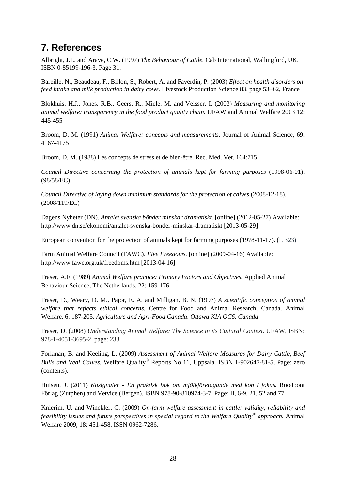## **7. References**

Albright, J.L. and Arave, C.W. (1997) *The Behaviour of Cattle.* Cab International, Wallingford, UK. ISBN 0-85199-196-3. Page 31.

Bareille, N., Beaudeau, F., Billon, S., Robert, A. and Faverdin, P. (2003) *Effect on health disorders on feed intake and milk production in dairy cows.* Livestock Production Science 83, page 53–62, France

Blokhuis, H.J., Jones, R.B., Geers, R., Miele, M. and Veisser, I. (2003) *Measuring and monitoring animal welfare: transparency in the food product quality chain.* UFAW and Animal Welfare 2003 12: 445-455

Broom, D. M. (1991) *Animal Welfare: concepts and measurements.* Journal of Animal Science, 69: 4167-4175

Broom, D. M. (1988) Les concepts de stress et de bien-être. Rec. Med. Vet. 164:715

*Council Directive concerning the protection of animals kept for farming purposes* (1998-06-01). (98/58/EC)

*Council Directive of laying down minimum standards for the protection of calves* (2008-12-18). (2008/119/EC)

Dagens Nyheter (DN). *Antalet svenska bönder minskar dramatiskt.* [online] (2012-05-27) Available: http://www.dn.se/ekonomi/antalet-svenska-bonder-minskar-dramatiskt [2013-05-29]

European convention for the protection of animals kept for farming purposes (1978-11-17). (L 323)

Farm Animal Welfare Council (FAWC). *Five Freedoms.* [online] (2009-04-16) Available: http://www.fawc.org.uk/freedoms.htm [2013-04-16]

Fraser, A.F. (1989) *Animal Welfare practice: Primary Factors and Objectives.* Applied Animal Behaviour Science, The Netherlands. 22: 159-176

Fraser, D., Weary, D. M., Pajor, E. A. and Milligan, B. N. (1997) *A scientific conception of animal welfare that reflects ethical concerns.* Centre for Food and Animal Research, Canada. Animal Welfare. 6: 187-205. *Agriculture and Agri-Food Canada, Ottawa KIA OC6. Canada*

Fraser, D. (2008) *Understanding Animal Welfare: The Science in its Cultural Context.* UFAW, ISBN: 978-1-4051-3695-2, page: 233

Forkman, B. and Keeling, L. (2009) *Assessment of Animal Welfare Measures for Dairy Cattle, Beef Bulls and Veal Calves.* Welfare Quality*®* Reports No 11, Uppsala. ISBN 1-902647-81-5. Page: zero (contents).

Hulsen, J. (2011) *Kosignaler - En praktisk bok om mjölkföretagande med kon i fokus.* Roodbont Förlag (Zutphen) and Vetvice (Bergen). ISBN 978-90-810974-3-7. Page: II, 6-9, 21, 52 and 77.

Knierim, U. and Winckler, C. (2009) *On-farm welfare assessment in cattle: validity, reliability and feasibility issues and future perspectives in special regard to the Welfare Quality® approach.* Animal Welfare 2009, 18: 451-458. ISSN 0962-7286.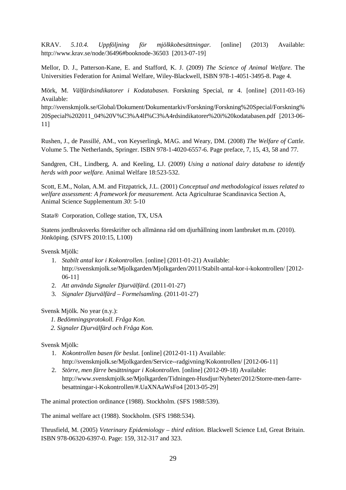KRAV. *5.10.4. Uppföljning för mjölkkobesättningar.* [online] (2013) Available: http://www.krav.se/node/36496#booknode-36503 [2013-07-19]

Mellor, D. J., Patterson-Kane, E. and Stafford, K. J. (2009) *The Science of Animal Welfare.* The Universities Federation for Animal Welfare, Wiley-Blackwell, ISBN 978-1-4051-3495-8. Page 4.

Mörk, M. *Välfärdsindikatorer i Kodatabasen.* Forskning Special, nr 4. [online] (2011-03-16) Available:

http://svenskmjolk.se/Global/Dokument/Dokumentarkiv/Forskning/Forskning%20Special/Forskning% 20Special%202011\_04%20V%C3%A4lf%C3%A4rdsindikatorer%20i%20kodatabasen.pdf [2013-06- 11]

Rushen, J., de Passillé, AM., von Keyserlingk, MAG. and Weary, DM. (2008) *The Welfare of Cattle.*  Volume 5. The Netherlands, Springer. ISBN 978-1-4020-6557-6. Page preface, 7, 15, 43, 58 and 77.

Sandgren, CH., Lindberg, A. and Keeling, LJ. (2009) *Using a national dairy database to identify herds with poor welfare.* Animal Welfare 18:523-532.

Scott, E.M., Nolan, A.M. and Fitzpatrick, J.L. (2001) *Conceptual and methodological issues related to welfare assessment: A framework for measurement.* Acta Agriculturae Scandinavica Section A, Animal Science Supplementum *30*: 5-10

Stata® Corporation, College station, TX, USA

Statens jordbruksverks föreskrifter och allmänna råd om djurhållning inom lantbruket m.m. (2010). Jönköping. (SJVFS 2010:15, L100)

#### Svensk Mjölk:

- 1. *Stabilt antal kor i Kokontrollen*. [online] (2011-01-21) Available: http://svenskmjolk.se/Mjolkgarden/Mjolkgarden/2011/Stabilt-antal-kor-i-kokontrollen/ [2012- 06-11]
- 2. *Att använda Signaler Djurvälfärd.* (2011-01-27)
- 3. *Signaler Djurvälfärd – Formelsamling.* (2011-01-27)

#### Svensk Mjölk. No year (n.y.):

- *1. Bedömningsprotokoll. Fråga Kon.*
- *2. Signaler Djurvälfärd och Fråga Kon.*

Svensk Mjölk:

- 1. *Kokontrollen basen för beslut.* [online] (2012-01-11) Available: http://svenskmjolk.se/Mjolkgarden/Service--radgivning/Kokontrollen/ [2012-06-11]
- 2. *Större, men färre besättningar i Kokontrollen.* [online] (2012-09-18) Available: http://www.svenskmjolk.se/Mjolkgarden/Tidningen-Husdjur/Nyheter/2012/Storre-men-farrebesattningar-i-Kokontrollen/#.UaXNAaWsFo4 [2013-05-29]

The animal protection ordinance (1988). Stockholm. (SFS 1988:539).

The animal welfare act (1988). Stockholm. (SFS 1988:534).

Thrusfield, M. (2005) *Veterinary Epidemiology – third edition.* Blackwell Science Ltd, Great Britain. ISBN 978-06320-6397-0. Page: 159, 312-317 and 323.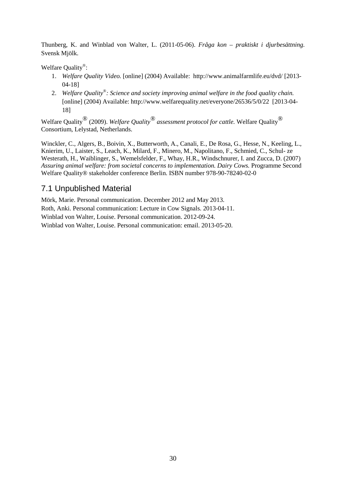Thunberg, K. and Winblad von Walter, L. (2011-05-06). *Fråga kon – praktiskt i djurbesättning.*  Svensk Mjölk.

Welfare Quality*®*:

- 1. *Welfare Quality Video.* [online] (2004) Available: http://www.animalfarmlife.eu/dvd/ [2013- 04-18]
- 2. *Welfare Quality®: Science and society improving animal welfare in the food quality chain.* [online] (2004) Available: http://www.welfarequality.net/everyone/26536/5/0/22 [2013-04- 18]

Welfare Quality® (2009). *Welfare Quality® assessment protocol for cattle.* Welfare Quality® Consortium, Lelystad, Netherlands.

Winckler, C., Algers, B., Boivin, X., Butterworth, A., Canali, E., De Rosa, G., Hesse, N., Keeling, L., Knierim, U., Laister, S., Leach, K., Milard, F., Minero, M., Napolitano, F., Schmied, C., Schul- ze Westerath, H., Waiblinger, S., Wemelsfelder, F., Whay, H.R., Windschnurer, I. and Zucca, D. (2007) *Assuring animal welfare: from societal concerns to implementation. Dairy Cows.* Programme Second Welfare Quality® stakeholder conference Berlin. ISBN number 978-90-78240-02-0

## 7.1 Unpublished Material

Mörk, Marie. Personal communication. December 2012 and May 2013. Roth, Anki. Personal communication: Lecture in Cow Signals. 2013-04-11. Winblad von Walter, Louise. Personal communication. 2012-09-24. Winblad von Walter, Louise. Personal communication: email. 2013-05-20.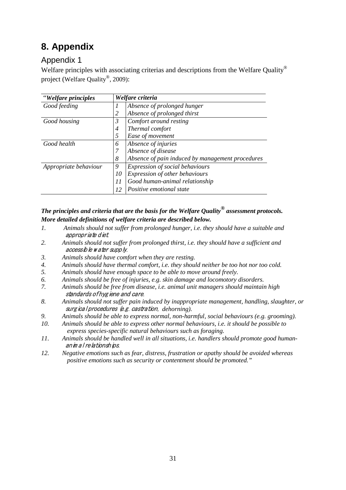# **8. Appendix**

## Appendix 1

Welfare principles with associating criterias and descriptions from the Welfare Quality*®* project (Welfare Quality*®*, 2009):

| "Welfare principles   |                | Welfare criteria                                 |
|-----------------------|----------------|--------------------------------------------------|
| Good feeding          | 1              | Absence of prolonged hunger                      |
|                       |                | Absence of prolonged thirst                      |
| Good housing          | $\mathfrak{Z}$ | Comfort around resting                           |
|                       | $\overline{4}$ | Thermal comfort                                  |
|                       | 5              | Ease of movement                                 |
| Good health           | 6              | Absence of injuries                              |
|                       |                | Absence of disease                               |
|                       | 8              | Absence of pain induced by management procedures |
| Appropriate behaviour | 9              | Expression of social behaviours                  |
|                       | 10             | Expression of other behaviours                   |
|                       | 11             | Good human-animal relationship                   |
|                       | 12             | Positive emotional state                         |

#### *The principles and criteria that are the basis for the Welfare Quality® assessment protocols. More detailed definitions of welfare criteria are described below.*

- *1. Animals should not suffer from prolonged hunger, i.e. they should have a suitable and*  appropriate diet.
- *2. Animals should not suffer from prolonged thirst, i.e. they should have a sufficient and*  accessible w ater supply.
- *3. Animals should have comfort when they are resting.*
- *4. Animals should have thermal comfort, i.e. they should neither be too hot nor too cold.*
- *5. Animals should have enough space to be able to move around freely.*
- *6. Animals should be free of injuries, e.g. skin damage and locomotory disorders.*
- *7. Animals should be free from disease, i.e. animal unit managers should maintain high*  standards of hygiene and care.
- *8. Animals should not suffer pain induced by inappropriate management, handling, slaughter, or*  surgical procedures (e.g. castration, *dehorning*).
- *9. Animals should be able to express normal, non-harmful, social behaviours (e.g. grooming).*
- *10. Animals should be able to express other normal behaviours, i.e. it should be possible to express species-specific natural behaviours such as foraging.*
- *11. Animals should be handled well in all situations, i.e. handlers should promote good human*anim al relationships.
- *12. Negative emotions such as fear, distress, frustration or apathy should be avoided whereas positive emotions such as security or contentment should be promoted."*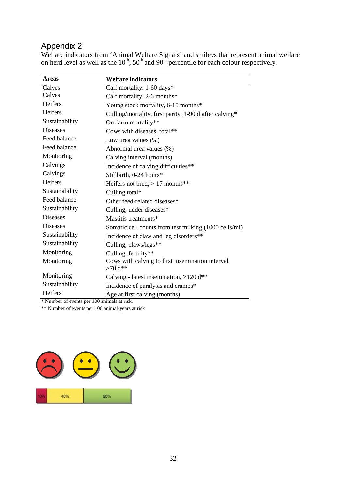## Appendix 2

Welfare indicators from 'Animal Welfare Signals' and smileys that represent animal welfare on herd level as well as the  $10^{th}$ ,  $50^{th}$  and  $90^{th}$  percentile for each colour respectively.

| <b>Areas</b>    | <b>Welfare indicators</b>                              |
|-----------------|--------------------------------------------------------|
| Calves          | Calf mortality, 1-60 days*                             |
| Calves          | Calf mortality, 2-6 months $*$                         |
| Heifers         | Young stock mortality, 6-15 months*                    |
| Heifers         | Culling/mortality, first parity, 1-90 d after calving* |
| Sustainability  | On-farm mortality**                                    |
| <b>Diseases</b> | Cows with diseases, total**                            |
| Feed balance    | Low urea values $(\%)$                                 |
| Feed balance    | Abnormal urea values (%)                               |
| Monitoring      | Calving interval (months)                              |
| Calvings        | Incidence of calving difficulties**                    |
| Calvings        | Stillbirth, 0-24 hours*                                |
| Heifers         | Heifers not bred, $> 17$ months**                      |
| Sustainability  | Culling total*                                         |
| Feed balance    | Other feed-related diseases*                           |
| Sustainability  | Culling, udder diseases*                               |
| <b>Diseases</b> | Mastitis treatments*                                   |
| <b>Diseases</b> | Somatic cell counts from test milking (1000 cells/ml)  |
| Sustainability  | Incidence of claw and leg disorders**                  |
| Sustainability  | Culling, claws/legs**                                  |
| Monitoring      | Culling, fertility**                                   |
| Monitoring      | Cows with calving to first insemination interval,      |
|                 | $>70$ d**                                              |
| Monitoring      | Calving - latest insemination, $>120$ d**              |
| Sustainability  | Incidence of paralysis and cramps*                     |
| Heifers         | Age at first calving (months)                          |

\* Number of events per 100 animals at risk.

\*\* Number of events per 100 animal-years at risk

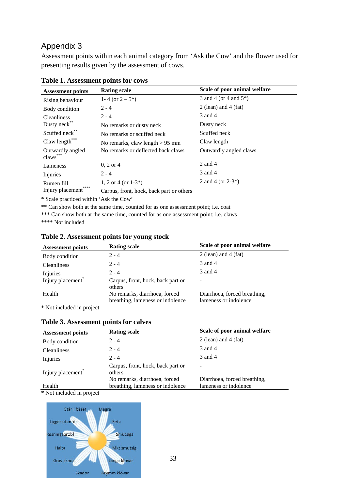### Appendix 3

Assessment points within each animal category from 'Ask the Cow' and the flower used for presenting results given by the assessment of cows.

| <b>Assessment points</b>                 | <b>Rating scale</b>                      | Scale of poor animal welfare |
|------------------------------------------|------------------------------------------|------------------------------|
| Rising behaviour                         | 1-4 (or $2-5^*$ )                        | 3 and 4 (or 4 and $5^*$ )    |
| Body condition                           | $2 - 4$                                  | 2 (lean) and 4 (fat)         |
| <b>Cleanliness</b>                       | $2 - 4$                                  | 3 and 4                      |
| Dusty neck <sup>®</sup>                  | No remarks or dusty neck                 | Dusty neck                   |
| Scuffed neck**                           | No remarks or scuffed neck               | Scuffed neck                 |
| Claw length***                           | No remarks, claw length $> 95$ mm        | Claw length                  |
| Outwardly angled<br>claws <sup>***</sup> | No remarks or deflected back claws       | Outwardly angled claws       |
| Lameness                                 | $0, 2 \text{ or } 4$                     | 2 and 4                      |
| Injuries                                 | $2 - 4$                                  | 3 and 4                      |
| Rumen fill                               | 1, 2 or 4 (or $1-3^*$ )                  | 2 and 4 (or $2-3^*$ )        |
| ****<br>Injury placement                 | Carpus, front, hock, back part or others |                              |

#### **Table 1. Assessment points for cows**

\* Scale practiced within 'Ask the Cow'

\*\* Can show both at the same time, counted for as one assessment point; i.e. coat

\*\*\* Can show both at the same time, counted for as one assessment point; i.e. claws

\*\*\*\* Not included

| $2 - 4$<br>Body condition<br>3 and 4<br>$2 - 4$<br><b>Cleanliness</b>                                    |                                                       |
|----------------------------------------------------------------------------------------------------------|-------------------------------------------------------|
|                                                                                                          | 2 (lean) and 4 (fat)                                  |
|                                                                                                          |                                                       |
| 3 and 4<br>$2 - 4$<br>Injuries                                                                           |                                                       |
| Injury placement <sup>*</sup><br>Carpus, front, hock, back part or<br>$\overline{\phantom{0}}$<br>others |                                                       |
| Health<br>No remarks, diarrhoea, forced<br>breathing, lameness or indolence                              | Diarrhoea, forced breathing,<br>lameness or indolence |

#### **Table 2. Assessment points for young stock**

\* Not included in project

#### **Table 3. Assessment points for calves**

| <b>Assessment points</b>      | <b>Rating scale</b>                         | Scale of poor animal welfare |
|-------------------------------|---------------------------------------------|------------------------------|
| Body condition                | $2 - 4$                                     | 2 (lean) and 4 (fat)         |
| <b>Cleanliness</b>            | $2 - 4$                                     | 3 and 4                      |
| Injuries                      | $2 - 4$                                     | 3 and 4                      |
| Injury placement <sup>®</sup> | Carpus, front, hock, back part or<br>others | $\overline{\phantom{a}}$     |
|                               | No remarks, diarrhoea, forced               | Diarrhoea, forced breathing, |
| Health                        | breathing, lameness or indolence            | lameness or indolence        |

\* Not included in project